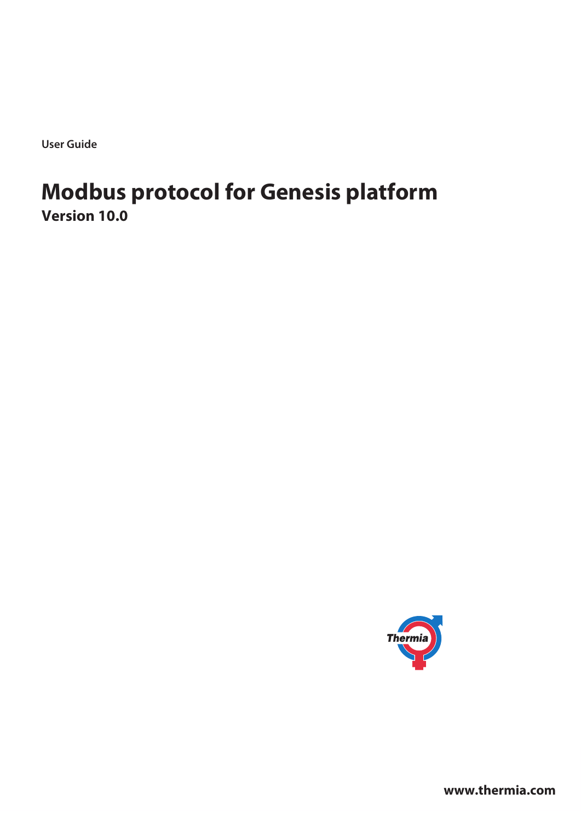**User Guide**

# **Modbus protocol for Genesis platform Version 10.0**



**[www.thermia.com](http://www.thermia.com)**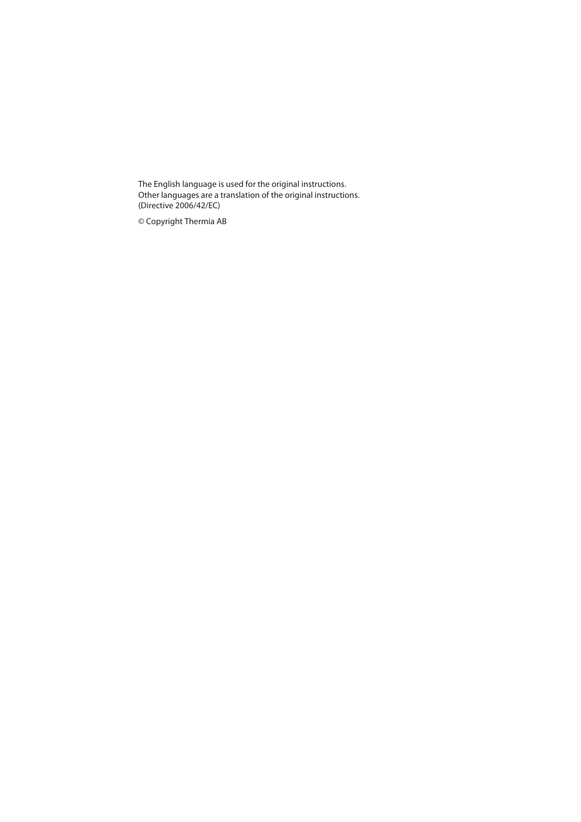The English language is used for the original instructions. Other languages are a translation of the original instructions. (Directive 2006/42/EC)

© Copyright Thermia AB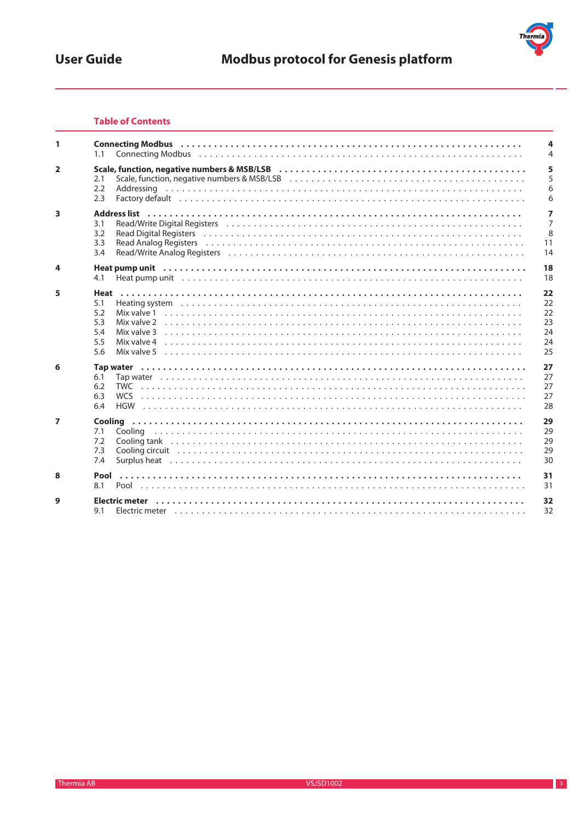

### **Table of Contents**

| 1              | Connecting Modbus (all contains and contained all connecting Modbus contains and connecting Modbus (all connect<br>$\overline{4}$<br>1.1<br>Connecting Modbus is a conservative contract to contact the connecting Modbus is a conservative conservative conservative conservative conservative conservative conservative conservative conservative conservative conservat                                                                                                                                                                  |
|----------------|---------------------------------------------------------------------------------------------------------------------------------------------------------------------------------------------------------------------------------------------------------------------------------------------------------------------------------------------------------------------------------------------------------------------------------------------------------------------------------------------------------------------------------------------|
| $\overline{2}$ | 5<br>5<br>2.1<br>2.2<br>6<br>6<br>2.3<br>Factory default ………………………………………………………………………………………                                                                                                                                                                                                                                                                                                                                                                                                                                                  |
| 3              | 7<br>$\overline{7}$<br>3.1<br>Read/Write Digital Registers (all cases is a controller controller controller controller controller controller<br>8<br>3.2<br>Read Digital Registers (all contained all contained and contained all contained a new set of Digital Registers<br>3.3<br>11<br>Read Analog Registers (all contains and contained all contained and all contained and all contained a reading $R$<br>14<br>Read/Write Analog Registers (all cases are contained a series and contained a series and a series and a series<br>3.4 |
| 4              | 18<br>18<br>4.1                                                                                                                                                                                                                                                                                                                                                                                                                                                                                                                             |
| 5              | 22<br>Heat<br>22<br>5.1<br>22<br>5.2<br>23<br>5.3<br>24<br>5.4<br>Mix valve 3<br>24<br>5.5<br>Mix valve 4<br>25<br>5.6<br>Mix valve 5                                                                                                                                                                                                                                                                                                                                                                                                       |
| 6              | 27<br>27<br>6.1<br>27<br>6.2<br>27<br>6.3<br>28<br>6.4                                                                                                                                                                                                                                                                                                                                                                                                                                                                                      |
| $\overline{ }$ | 29<br>29<br>7.1<br>Cooling<br>29<br>7.2<br>29<br>7.3<br>30<br>7.4                                                                                                                                                                                                                                                                                                                                                                                                                                                                           |
| 8              | 31<br>31<br>8.1                                                                                                                                                                                                                                                                                                                                                                                                                                                                                                                             |
| 9              | 32<br>32<br>9.1                                                                                                                                                                                                                                                                                                                                                                                                                                                                                                                             |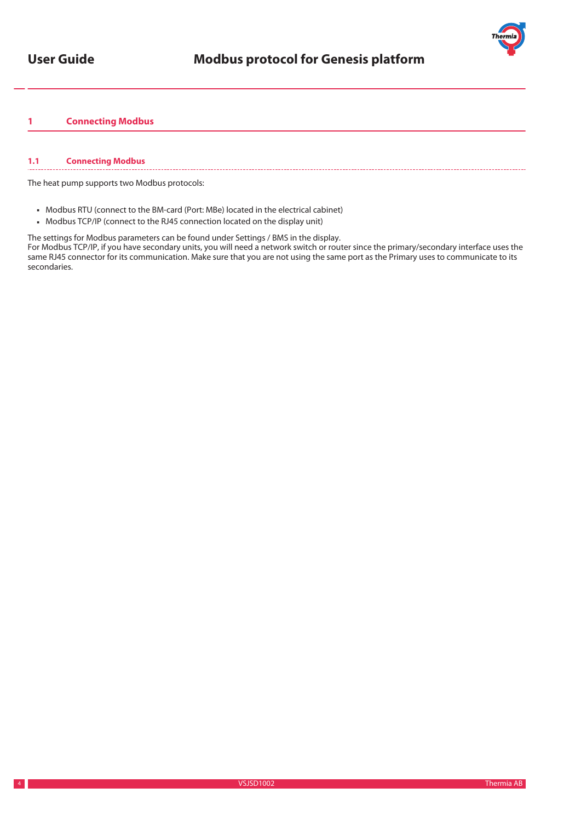

#### <span id="page-3-0"></span>**1 Connecting Modbus**

#### **1.1 Connecting Modbus**

The heat pump supports two Modbus protocols:

- Modbus RTU (connect to the BM-card (Port: MBe) located in the electrical cabinet)
- Modbus TCP/IP (connect to the RJ45 connection located on the display unit)

The settings for Modbus parameters can be found under Settings / BMS in the display. For Modbus TCP/IP, if you have secondary units, you will need a network switch or router since the primary/secondary interface uses the same RJ45 connector for its communication. Make sure that you are not using the same port as the Primary uses to communicate to its secondaries.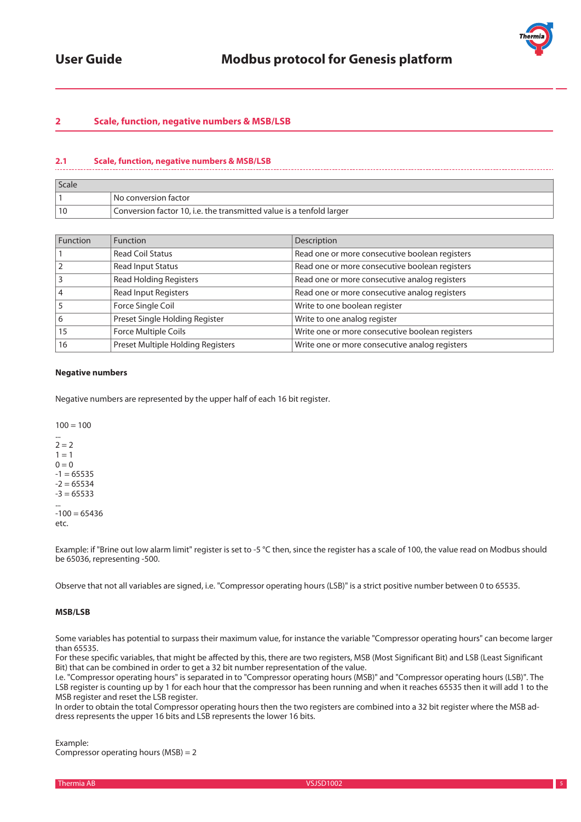

#### <span id="page-4-0"></span>**2 Scale, function, negative numbers & MSB/LSB**

#### **2.1 Scale, function, negative numbers & MSB/LSB**

| Scale |                                                                      |
|-------|----------------------------------------------------------------------|
|       | No conversion factor                                                 |
| 10    | Conversion factor 10, i.e. the transmitted value is a tenfold larger |

| <b>Function</b>                   | Description                                     |
|-----------------------------------|-------------------------------------------------|
| <b>Read Coil Status</b>           | Read one or more consecutive boolean registers  |
| Read Input Status                 | Read one or more consecutive boolean registers  |
| <b>Read Holding Registers</b>     | Read one or more consecutive analog registers   |
| Read Input Registers              | Read one or more consecutive analog registers   |
| Force Single Coil                 | Write to one boolean register                   |
| Preset Single Holding Register    | Write to one analog register                    |
| Force Multiple Coils              | Write one or more consecutive boolean registers |
| Preset Multiple Holding Registers | Write one or more consecutive analog registers  |
|                                   |                                                 |

#### **Negative numbers**

Negative numbers are represented by the upper half of each 16 bit register.

 $100 = 100$ 

...  $2 = 2$  $1 = 1$  $0 = 0$  $-1 = 65535$  $-2 = 65534$  $-3 = 65533$ ...  $-100 = 65436$ 

etc.

Example: if "Brine out low alarm limit" register is set to -5 °C then, since the register has a scale of 100, the value read on Modbus should be 65036, representing -500.

Observe that not all variables are signed, i.e. "Compressor operating hours (LSB)" is a strict positive number between 0 to 65535.

#### **MSB/LSB**

Some variables has potential to surpass their maximum value, for instance the variable "Compressor operating hours" can become larger than 65535.

For these specific variables, that might be affected by this, there are two registers, MSB (Most Significant Bit) and LSB (Least Significant Bit) that can be combined in order to get a 32 bit number representation of the value.

I.e. "Compressor operating hours" is separated in to "Compressor operating hours (MSB)" and "Compressor operating hours (LSB)". The LSB register is counting up by 1 for each hour that the compressor has been running and when it reaches 65535 then it will add 1 to the MSB register and reset the LSB register.

In order to obtain the total Compressor operating hours then the two registers are combined into a 32 bit register where the MSB address represents the upper 16 bits and LSB represents the lower 16 bits.

Example: Compressor operating hours (MSB) = 2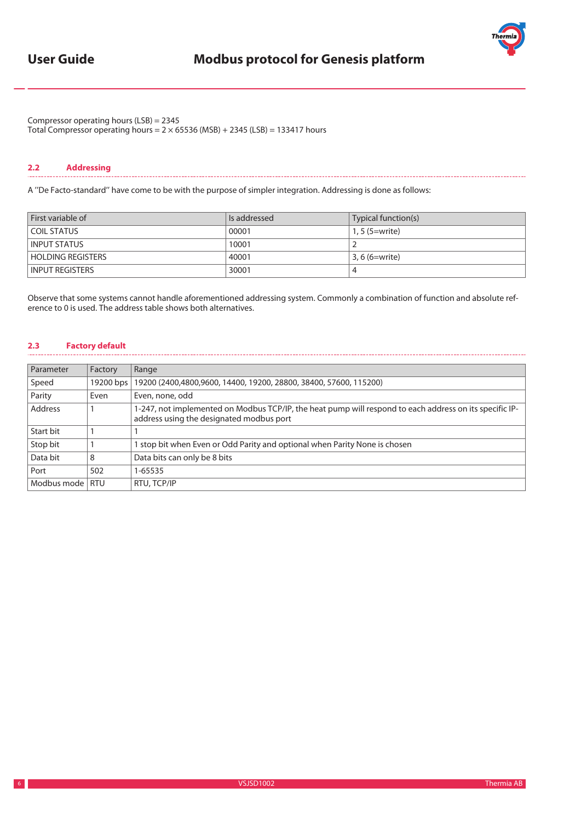

<span id="page-5-0"></span>Compressor operating hours (LSB) = 2345 Total Compressor operating hours =  $2 \times 65536$  (MSB) + 2345 (LSB) = 133417 hours

#### **2.2 Addressing**

A ''De Facto-standard'' have come to be with the purpose of simpler integration. Addressing is done as follows:

| First variable of        | Is addressed | Typical function(s) |
|--------------------------|--------------|---------------------|
| COIL STATUS              | 00001        | 1, 5 (5=write)      |
| I INPUT STATUS           | 10001        |                     |
| <b>HOLDING REGISTERS</b> | 40001        | 3, 6 (6=write)      |
| HNPUT REGISTERS          | 30001        |                     |

Observe that some systems cannot handle aforementioned addressing system. Commonly a combination of function and absolute reference to 0 is used. The address table shows both alternatives.

#### **2.3 Factory default**

| Parameter      | Factory    | Range                                                                                                                                               |
|----------------|------------|-----------------------------------------------------------------------------------------------------------------------------------------------------|
| Speed          | 19200 bps  | 19200 (2400,4800,9600, 14400, 19200, 28800, 38400, 57600, 115200)                                                                                   |
| Parity         | Even       | Even, none, odd                                                                                                                                     |
| <b>Address</b> |            | 1-247, not implemented on Modbus TCP/IP, the heat pump will respond to each address on its specific IP-<br>address using the designated modbus port |
| Start bit      |            |                                                                                                                                                     |
| Stop bit       |            | 1 stop bit when Even or Odd Parity and optional when Parity None is chosen                                                                          |
| Data bit       | 8          | Data bits can only be 8 bits                                                                                                                        |
| Port           | 502        | 1-65535                                                                                                                                             |
| Modbus mode    | <b>RTU</b> | RTU, TCP/IP                                                                                                                                         |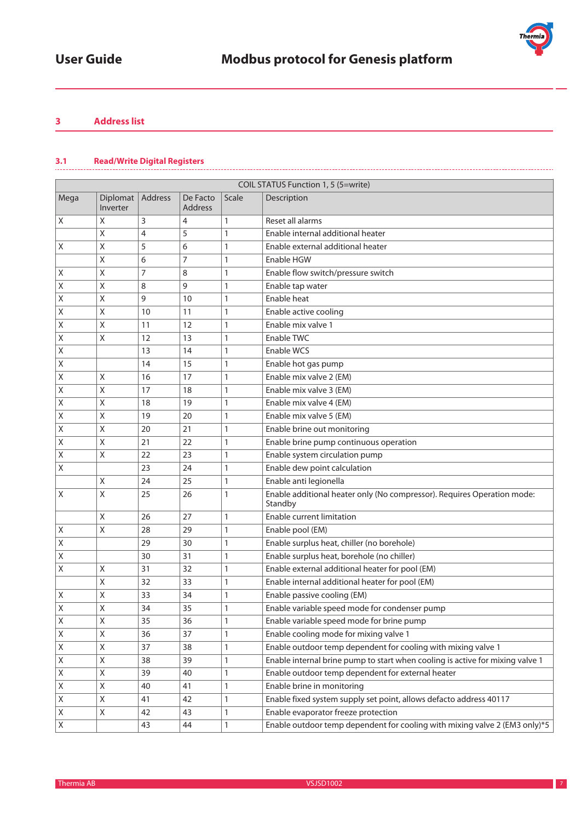

## <span id="page-6-0"></span>**3 Address list**

# **3.1 Read/Write Digital Registers**

|                         | COIL STATUS Function 1, 5 (5=write) |                |                            |              |                                                                                    |  |  |  |  |
|-------------------------|-------------------------------------|----------------|----------------------------|--------------|------------------------------------------------------------------------------------|--|--|--|--|
| Mega                    | Diplomat<br>Inverter                | <b>Address</b> | De Facto<br><b>Address</b> | <b>Scale</b> | Description                                                                        |  |  |  |  |
| $\mathsf{X}$            | X                                   | 3              | 4                          | 1            | Reset all alarms                                                                   |  |  |  |  |
|                         | X                                   | $\overline{4}$ | 5                          | $\mathbf{1}$ | Enable internal additional heater                                                  |  |  |  |  |
| $\mathsf{X}$            | $\mathsf X$                         | 5              | 6                          | $\mathbf{1}$ | Enable external additional heater                                                  |  |  |  |  |
|                         | X                                   | 6              | 7                          | $\mathbf{1}$ | Enable HGW                                                                         |  |  |  |  |
| $\mathsf X$             | $\mathsf X$                         | 7              | 8                          | 1            | Enable flow switch/pressure switch                                                 |  |  |  |  |
| $\mathsf X$             | X                                   | 8              | 9                          | 1            | Enable tap water                                                                   |  |  |  |  |
| $\mathsf X$             | X                                   | 9              | 10                         | 1            | <b>Enable heat</b>                                                                 |  |  |  |  |
| $\mathsf X$             | X                                   | 10             | 11                         | 1            | Enable active cooling                                                              |  |  |  |  |
| $\mathsf X$             | X                                   | 11             | 12                         | $\mathbf{1}$ | Enable mix valve 1                                                                 |  |  |  |  |
| $\mathsf{X}$            | X                                   | 12             | 13                         | 1            | Enable TWC                                                                         |  |  |  |  |
| $\mathsf X$             |                                     | 13             | 14                         | 1            | Enable WCS                                                                         |  |  |  |  |
| $\mathsf X$             |                                     | 14             | 15                         | 1            | Enable hot gas pump                                                                |  |  |  |  |
| $\mathsf X$             | X                                   | 16             | 17                         | $\mathbf{1}$ | Enable mix valve 2 (EM)                                                            |  |  |  |  |
| $\mathsf X$             | X                                   | 17             | 18                         | $\mathbf{1}$ | Enable mix valve 3 (EM)                                                            |  |  |  |  |
| $\mathsf X$             | X                                   | 18             | 19                         | 1            | Enable mix valve 4 (EM)                                                            |  |  |  |  |
| $\mathsf X$             | X                                   | 19             | 20                         | 1            | Enable mix valve 5 (EM)                                                            |  |  |  |  |
| $\mathsf X$             | X                                   | 20             | 21                         | 1            | Enable brine out monitoring                                                        |  |  |  |  |
| $\mathsf X$             | X                                   | 21             | 22                         | $\mathbf{1}$ | Enable brine pump continuous operation                                             |  |  |  |  |
| $\mathsf{X}$            | X                                   | 22             | 23                         | $\mathbf{1}$ | Enable system circulation pump                                                     |  |  |  |  |
| $\mathsf X$             |                                     | 23             | 24                         | 1            | Enable dew point calculation                                                       |  |  |  |  |
|                         | X                                   | 24             | 25                         | 1            | Enable anti legionella                                                             |  |  |  |  |
| $\mathsf{X}$            | X                                   | 25             | 26                         | 1            | Enable additional heater only (No compressor). Requires Operation mode:<br>Standby |  |  |  |  |
|                         | X                                   | 26             | 27                         | $\mathbf{1}$ | Enable current limitation                                                          |  |  |  |  |
| $\mathsf{X}$            | X                                   | 28             | 29                         | $\mathbf{1}$ | Enable pool (EM)                                                                   |  |  |  |  |
| $\mathsf X$             |                                     | 29             | 30                         | $\mathbf{1}$ | Enable surplus heat, chiller (no borehole)                                         |  |  |  |  |
| $\mathsf X$             |                                     | 30             | 31                         | 1            | Enable surplus heat, borehole (no chiller)                                         |  |  |  |  |
| $\mathsf X$             | X                                   | 31             | 32                         | 1            | Enable external additional heater for pool (EM)                                    |  |  |  |  |
|                         | X                                   | 32             | 33                         | 1            | Enable internal additional heater for pool (EM)                                    |  |  |  |  |
| $\mathsf{X}$            | X                                   | 33             | 34                         | 1            | Enable passive cooling (EM)                                                        |  |  |  |  |
| $\mathsf{X}$            | X                                   | 34             | 35                         | 1            | Enable variable speed mode for condenser pump                                      |  |  |  |  |
| $\mathsf X$             | Χ                                   | 35             | 36                         | 1            | Enable variable speed mode for brine pump                                          |  |  |  |  |
| $\mathsf X$             | X                                   | 36             | 37                         | 1            | Enable cooling mode for mixing valve 1                                             |  |  |  |  |
| $\mathsf X$             | X                                   | 37             | 38                         | $\mathbf{1}$ | Enable outdoor temp dependent for cooling with mixing valve 1                      |  |  |  |  |
| $\mathsf X$             | X                                   | 38             | 39                         | 1            | Enable internal brine pump to start when cooling is active for mixing valve 1      |  |  |  |  |
| $\mathsf X$             | X                                   | 39             | 40                         | 1            | Enable outdoor temp dependent for external heater                                  |  |  |  |  |
| $\overline{\mathsf{X}}$ | Χ                                   | 40             | 41                         | 1            | Enable brine in monitoring                                                         |  |  |  |  |
| $\mathsf X$             | X                                   | 41             | 42                         | 1            | Enable fixed system supply set point, allows defacto address 40117                 |  |  |  |  |
| $\mathsf X$             | X                                   | 42             | 43                         | 1            | Enable evaporator freeze protection                                                |  |  |  |  |
| $\mathsf X$             |                                     | 43             | 44                         | $\mathbf{1}$ | Enable outdoor temp dependent for cooling with mixing valve 2 (EM3 only)*5         |  |  |  |  |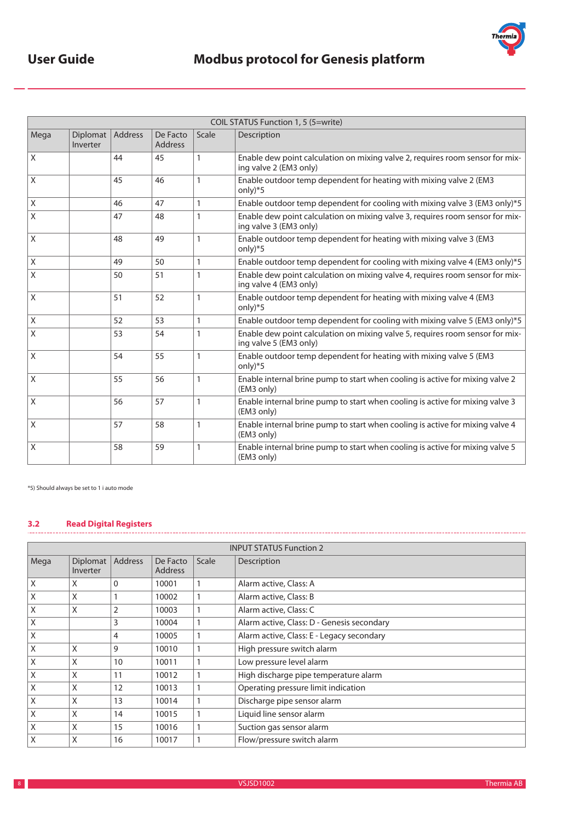

<span id="page-7-0"></span>

|                | COIL STATUS Function 1, 5 (5=write) |         |                            |              |                                                                                                         |  |  |  |  |
|----------------|-------------------------------------|---------|----------------------------|--------------|---------------------------------------------------------------------------------------------------------|--|--|--|--|
| Mega           | Diplomat<br>Inverter                | Address | De Facto<br><b>Address</b> | Scale        | Description                                                                                             |  |  |  |  |
| $\sf X$        |                                     | 44      | 45                         | $\mathbf{1}$ | Enable dew point calculation on mixing valve 2, requires room sensor for mix-<br>ing valve 2 (EM3 only) |  |  |  |  |
| $\overline{X}$ |                                     | 45      | 46                         | 1            | Enable outdoor temp dependent for heating with mixing valve 2 (EM3<br>only)*5                           |  |  |  |  |
| $\sf X$        |                                     | 46      | 47                         | $\mathbf{1}$ | Enable outdoor temp dependent for cooling with mixing valve 3 (EM3 only)*5                              |  |  |  |  |
| X              |                                     | 47      | 48                         | $\mathbf{1}$ | Enable dew point calculation on mixing valve 3, requires room sensor for mix-<br>ing valve 3 (EM3 only) |  |  |  |  |
| $\sf X$        |                                     | 48      | 49                         | $\mathbf{1}$ | Enable outdoor temp dependent for heating with mixing valve 3 (EM3<br>only)*5                           |  |  |  |  |
| $\mathsf X$    |                                     | 49      | 50                         | 1            | Enable outdoor temp dependent for cooling with mixing valve 4 (EM3 only)*5                              |  |  |  |  |
| $\overline{X}$ |                                     | 50      | 51                         | $\mathbf{1}$ | Enable dew point calculation on mixing valve 4, requires room sensor for mix-<br>ing valve 4 (EM3 only) |  |  |  |  |
| X              |                                     | 51      | 52                         | $\mathbf{1}$ | Enable outdoor temp dependent for heating with mixing valve 4 (EM3<br>only)*5                           |  |  |  |  |
| $\sf X$        |                                     | 52      | 53                         | $\mathbf{1}$ | Enable outdoor temp dependent for cooling with mixing valve 5 (EM3 only)*5                              |  |  |  |  |
| $\mathsf{X}$   |                                     | 53      | 54                         | $\mathbf{1}$ | Enable dew point calculation on mixing valve 5, requires room sensor for mix-<br>ing valve 5 (EM3 only) |  |  |  |  |
| $\mathsf{X}$   |                                     | 54      | 55                         | $\mathbf{1}$ | Enable outdoor temp dependent for heating with mixing valve 5 (EM3<br>only $*5$                         |  |  |  |  |
| X              |                                     | 55      | 56                         | 1            | Enable internal brine pump to start when cooling is active for mixing valve 2<br>(EM3 only)             |  |  |  |  |
| $\sf X$        |                                     | 56      | 57                         | 1            | Enable internal brine pump to start when cooling is active for mixing valve 3<br>(EM3 only)             |  |  |  |  |
| X              |                                     | 57      | 58                         | 1            | Enable internal brine pump to start when cooling is active for mixing valve 4<br>(EM3 only)             |  |  |  |  |
| $\sf X$        |                                     | 58      | 59                         | 1            | Enable internal brine pump to start when cooling is active for mixing valve 5<br>(EM3 only)             |  |  |  |  |

\*5) Should always be set to 1 i auto mode

### **3.2 Read Digital Registers**

|      | <b>INPUT STATUS Function 2</b> |         |                            |       |                                            |  |  |  |  |
|------|--------------------------------|---------|----------------------------|-------|--------------------------------------------|--|--|--|--|
| Mega | Diplomat<br>Inverter           | Address | De Facto<br><b>Address</b> | Scale | Description                                |  |  |  |  |
| X    | X                              | 0       | 10001                      |       | Alarm active, Class: A                     |  |  |  |  |
| X    | X                              |         | 10002                      |       | Alarm active, Class: B                     |  |  |  |  |
| X    | X                              | 2       | 10003                      |       | Alarm active, Class: C                     |  |  |  |  |
| X    |                                | 3       | 10004                      |       | Alarm active, Class: D - Genesis secondary |  |  |  |  |
| X    |                                | 4       | 10005                      |       | Alarm active, Class: E - Legacy secondary  |  |  |  |  |
| Χ    | Χ                              | 9       | 10010                      |       | High pressure switch alarm                 |  |  |  |  |
| X    | X                              | 10      | 10011                      |       | Low pressure level alarm                   |  |  |  |  |
| X    | X                              | 11      | 10012                      |       | High discharge pipe temperature alarm      |  |  |  |  |
| Χ    | Χ                              | 12      | 10013                      |       | Operating pressure limit indication        |  |  |  |  |
| X    | X                              | 13      | 10014                      |       | Discharge pipe sensor alarm                |  |  |  |  |
| X    | X                              | 14      | 10015                      |       | Liquid line sensor alarm                   |  |  |  |  |
| X    | Χ                              | 15      | 10016                      |       | Suction gas sensor alarm                   |  |  |  |  |
| X    | Χ                              | 16      | 10017                      |       | Flow/pressure switch alarm                 |  |  |  |  |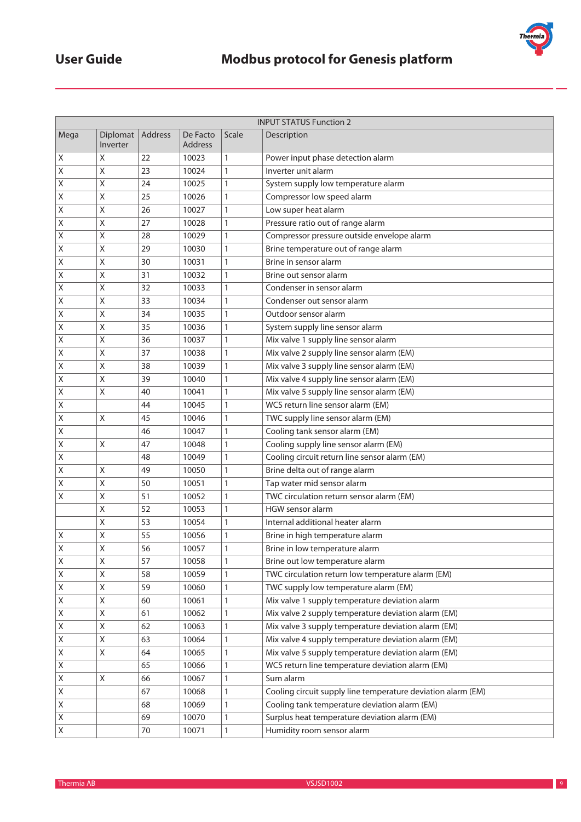

|             |                      |         |                            |              | <b>INPUT STATUS Function 2</b>                               |
|-------------|----------------------|---------|----------------------------|--------------|--------------------------------------------------------------|
| Mega        | Diplomat<br>Inverter | Address | De Facto<br><b>Address</b> | Scale        | Description                                                  |
| Χ           | X                    | 22      | 10023                      | 1            | Power input phase detection alarm                            |
| X           | X                    | 23      | 10024                      | 1            | Inverter unit alarm                                          |
| Χ           | X                    | 24      | 10025                      | 1            | System supply low temperature alarm                          |
| Χ           | X                    | 25      | 10026                      | 1            | Compressor low speed alarm                                   |
| Χ           | X                    | 26      | 10027                      | 1            | Low super heat alarm                                         |
| Χ           | X                    | 27      | 10028                      | 1            | Pressure ratio out of range alarm                            |
| Χ           | Χ                    | 28      | 10029                      | 1            | Compressor pressure outside envelope alarm                   |
| Χ           | X                    | 29      | 10030                      | 1            | Brine temperature out of range alarm                         |
| Χ           | Χ                    | 30      | 10031                      | 1            | Brine in sensor alarm                                        |
| Χ           | Χ                    | 31      | 10032                      | 1            | Brine out sensor alarm                                       |
| Χ           | Χ                    | 32      | 10033                      | 1            | Condenser in sensor alarm                                    |
| Χ           | X                    | 33      | 10034                      | 1            | Condenser out sensor alarm                                   |
| Χ           | X                    | 34      | 10035                      | 1            | Outdoor sensor alarm                                         |
| Χ           | Χ                    | 35      | 10036                      | 1            | System supply line sensor alarm                              |
| Χ           | X                    | 36      | 10037                      | 1            | Mix valve 1 supply line sensor alarm                         |
| X           | X                    | 37      | 10038                      | $\mathbf{1}$ | Mix valve 2 supply line sensor alarm (EM)                    |
| Χ           | X                    | 38      | 10039                      | 1            | Mix valve 3 supply line sensor alarm (EM)                    |
| Χ           | Χ                    | 39      | 10040                      | 1            | Mix valve 4 supply line sensor alarm (EM)                    |
| Χ           | X                    | 40      | 10041                      | 1            | Mix valve 5 supply line sensor alarm (EM)                    |
| Χ           |                      | 44      | 10045                      | 1            | WCS return line sensor alarm (EM)                            |
| Χ           | Χ                    | 45      | 10046                      | 1            | TWC supply line sensor alarm (EM)                            |
| Χ           |                      | 46      | 10047                      | 1            | Cooling tank sensor alarm (EM)                               |
| Χ           | X                    | 47      | 10048                      | 1            | Cooling supply line sensor alarm (EM)                        |
| Χ           |                      | 48      | 10049                      | 1            | Cooling circuit return line sensor alarm (EM)                |
| Χ           | X                    | 49      | 10050                      | $\mathbf{1}$ | Brine delta out of range alarm                               |
| Χ           | Χ                    | 50      | 10051                      | 1            | Tap water mid sensor alarm                                   |
| Χ           | Χ                    | 51      | 10052                      | $\mathbf{1}$ | TWC circulation return sensor alarm (EM)                     |
|             | Χ                    | 52      | 10053                      | 1            | HGW sensor alarm                                             |
|             | Χ                    | 53      | 10054                      | 1            | Internal additional heater alarm                             |
| X           | X                    | 55      | 10056                      | 1            | Brine in high temperature alarm                              |
| X           | X                    | 56      | 10057                      | 1            | Brine in low temperature alarm                               |
| Χ           | Χ                    | 57      | 10058                      | 1            | Brine out low temperature alarm                              |
| $\mathsf X$ | Χ                    | 58      | 10059                      | 1            | TWC circulation return low temperature alarm (EM)            |
| $\mathsf X$ | Χ                    | 59      | 10060                      | 1            | TWC supply low temperature alarm (EM)                        |
| Χ           | X                    | 60      | 10061                      | 1            | Mix valve 1 supply temperature deviation alarm               |
| Χ           | Χ                    | 61      | 10062                      | 1            | Mix valve 2 supply temperature deviation alarm (EM)          |
| Χ           | Χ                    | 62      | 10063                      | 1            | Mix valve 3 supply temperature deviation alarm (EM)          |
| $\mathsf X$ | Χ                    | 63      | 10064                      | 1            | Mix valve 4 supply temperature deviation alarm (EM)          |
| Χ           | Χ                    | 64      | 10065                      | 1            | Mix valve 5 supply temperature deviation alarm (EM)          |
| Χ           |                      | 65      | 10066                      | 1            | WCS return line temperature deviation alarm (EM)             |
| Χ           | X                    | 66      | 10067                      | $\mathbf{1}$ | Sum alarm                                                    |
| $\mathsf X$ |                      | 67      | 10068                      | 1            | Cooling circuit supply line temperature deviation alarm (EM) |
| $\mathsf X$ |                      | 68      | 10069                      | 1            | Cooling tank temperature deviation alarm (EM)                |
| Χ           |                      | 69      | 10070                      | 1            | Surplus heat temperature deviation alarm (EM)                |
| $\mathsf X$ |                      | 70      | 10071                      | 1            | Humidity room sensor alarm                                   |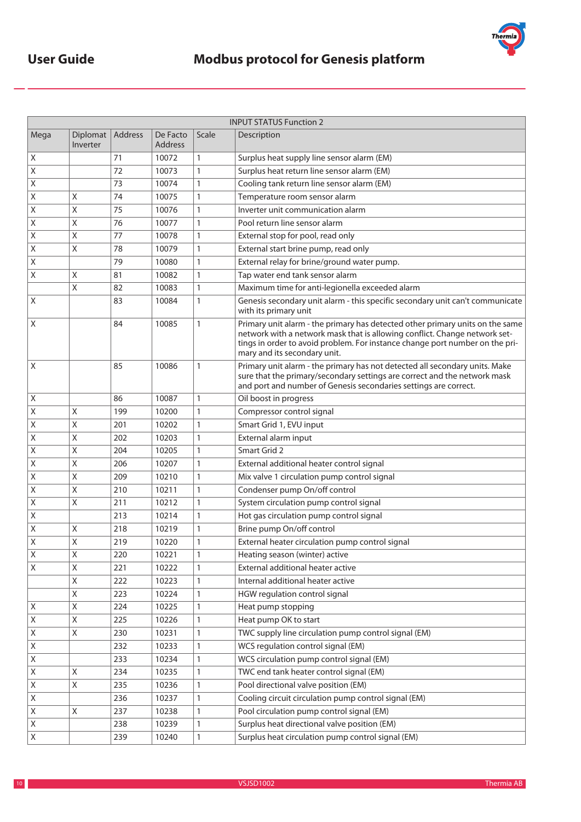

|             | <b>INPUT STATUS Function 2</b> |                |                            |              |                                                                                                                                                                                                                                                                             |  |  |  |
|-------------|--------------------------------|----------------|----------------------------|--------------|-----------------------------------------------------------------------------------------------------------------------------------------------------------------------------------------------------------------------------------------------------------------------------|--|--|--|
| Mega        | Diplomat<br>Inverter           | <b>Address</b> | De Facto<br><b>Address</b> | <b>Scale</b> | Description                                                                                                                                                                                                                                                                 |  |  |  |
| $\sf X$     |                                | 71             | 10072                      | 1            | Surplus heat supply line sensor alarm (EM)                                                                                                                                                                                                                                  |  |  |  |
| $\mathsf X$ |                                | 72             | 10073                      | 1            | Surplus heat return line sensor alarm (EM)                                                                                                                                                                                                                                  |  |  |  |
| $\mathsf X$ |                                | 73             | 10074                      | 1            | Cooling tank return line sensor alarm (EM)                                                                                                                                                                                                                                  |  |  |  |
| $\mathsf X$ | X                              | 74             | 10075                      | 1            | Temperature room sensor alarm                                                                                                                                                                                                                                               |  |  |  |
| $\sf X$     | Χ                              | 75             | 10076                      | 1            | Inverter unit communication alarm                                                                                                                                                                                                                                           |  |  |  |
| X           | Χ                              | 76             | 10077                      | 1            | Pool return line sensor alarm                                                                                                                                                                                                                                               |  |  |  |
| $\sf X$     | Χ                              | 77             | 10078                      | 1            | External stop for pool, read only                                                                                                                                                                                                                                           |  |  |  |
| $\mathsf X$ | X                              | 78             | 10079                      | 1            | External start brine pump, read only                                                                                                                                                                                                                                        |  |  |  |
| X           |                                | 79             | 10080                      | 1            | External relay for brine/ground water pump.                                                                                                                                                                                                                                 |  |  |  |
| X           | $\mathsf X$                    | 81             | 10082                      | 1            | Tap water end tank sensor alarm                                                                                                                                                                                                                                             |  |  |  |
|             | X                              | 82             | 10083                      | 1            | Maximum time for anti-legionella exceeded alarm                                                                                                                                                                                                                             |  |  |  |
| $\mathsf X$ |                                | 83             | 10084                      | 1            | Genesis secondary unit alarm - this specific secondary unit can't communicate<br>with its primary unit                                                                                                                                                                      |  |  |  |
| $\sf X$     |                                | 84             | 10085                      | $\mathbf{1}$ | Primary unit alarm - the primary has detected other primary units on the same<br>network with a network mask that is allowing conflict. Change network set-<br>tings in order to avoid problem. For instance change port number on the pri-<br>mary and its secondary unit. |  |  |  |
| $\mathsf X$ |                                | 85             | 10086                      | 1            | Primary unit alarm - the primary has not detected all secondary units. Make<br>sure that the primary/secondary settings are correct and the network mask<br>and port and number of Genesis secondaries settings are correct.                                                |  |  |  |
| $\sf X$     |                                | 86             | 10087                      | 1            | Oil boost in progress                                                                                                                                                                                                                                                       |  |  |  |
| $\sf X$     | Χ                              | 199            | 10200                      | 1            | Compressor control signal                                                                                                                                                                                                                                                   |  |  |  |
| $\mathsf X$ | Χ                              | 201            | 10202                      | 1            | Smart Grid 1, EVU input                                                                                                                                                                                                                                                     |  |  |  |
| X           | Χ                              | 202            | 10203                      | 1            | External alarm input                                                                                                                                                                                                                                                        |  |  |  |
| $\mathsf X$ | $\mathsf X$                    | 204            | 10205                      | 1            | Smart Grid 2                                                                                                                                                                                                                                                                |  |  |  |
| $\sf X$     | Χ                              | 206            | 10207                      | 1            | External additional heater control signal                                                                                                                                                                                                                                   |  |  |  |
| $\sf X$     | Χ                              | 209            | 10210                      | 1            | Mix valve 1 circulation pump control signal                                                                                                                                                                                                                                 |  |  |  |
| $\sf X$     | X                              | 210            | 10211                      | 1            | Condenser pump On/off control                                                                                                                                                                                                                                               |  |  |  |
| $\sf X$     | $\mathsf X$                    | 211            | 10212                      | 1            | System circulation pump control signal                                                                                                                                                                                                                                      |  |  |  |
| $\sf X$     |                                | 213            | 10214                      | 1            | Hot gas circulation pump control signal                                                                                                                                                                                                                                     |  |  |  |
| $\sf X$     | Χ                              | 218            | 10219                      | 1            | Brine pump On/off control                                                                                                                                                                                                                                                   |  |  |  |
| X           | X                              | 219            | 10220                      | 1            | External heater circulation pump control signal                                                                                                                                                                                                                             |  |  |  |
| $\mathsf X$ | Χ                              | 220            | 10221                      | 1            | Heating season (winter) active                                                                                                                                                                                                                                              |  |  |  |
| $\sf X$     | $\mathsf X$                    | 221            | 10222                      | 1            | External additional heater active                                                                                                                                                                                                                                           |  |  |  |
|             | Χ                              | 222            | 10223                      | 1            | Internal additional heater active                                                                                                                                                                                                                                           |  |  |  |
|             | Χ                              | 223            | 10224                      | 1            | HGW regulation control signal                                                                                                                                                                                                                                               |  |  |  |
| $\mathsf X$ | Χ                              | 224            | 10225                      | 1            | Heat pump stopping                                                                                                                                                                                                                                                          |  |  |  |
| $\mathsf X$ | Χ                              | 225            | 10226                      | 1            | Heat pump OK to start                                                                                                                                                                                                                                                       |  |  |  |
| $\mathsf X$ | X                              | 230            | 10231                      | 1            | TWC supply line circulation pump control signal (EM)                                                                                                                                                                                                                        |  |  |  |
| $\sf X$     |                                | 232            | 10233                      | 1            | WCS regulation control signal (EM)                                                                                                                                                                                                                                          |  |  |  |
| $\mathsf X$ |                                | 233            | 10234                      | 1            | WCS circulation pump control signal (EM)                                                                                                                                                                                                                                    |  |  |  |
| $\mathsf X$ | X                              | 234            | 10235                      | 1            | TWC end tank heater control signal (EM)                                                                                                                                                                                                                                     |  |  |  |
| $\mathsf X$ | Χ                              | 235            | 10236                      | 1            | Pool directional valve position (EM)                                                                                                                                                                                                                                        |  |  |  |
| $\mathsf X$ |                                | 236            | 10237                      | 1            | Cooling circuit circulation pump control signal (EM)                                                                                                                                                                                                                        |  |  |  |
| $\mathsf X$ | Χ                              | 237            | 10238                      | 1            | Pool circulation pump control signal (EM)                                                                                                                                                                                                                                   |  |  |  |
| $\mathsf X$ |                                | 238            | 10239                      | 1            | Surplus heat directional valve position (EM)                                                                                                                                                                                                                                |  |  |  |
| $\mathsf X$ |                                | 239            | 10240                      | 1            | Surplus heat circulation pump control signal (EM)                                                                                                                                                                                                                           |  |  |  |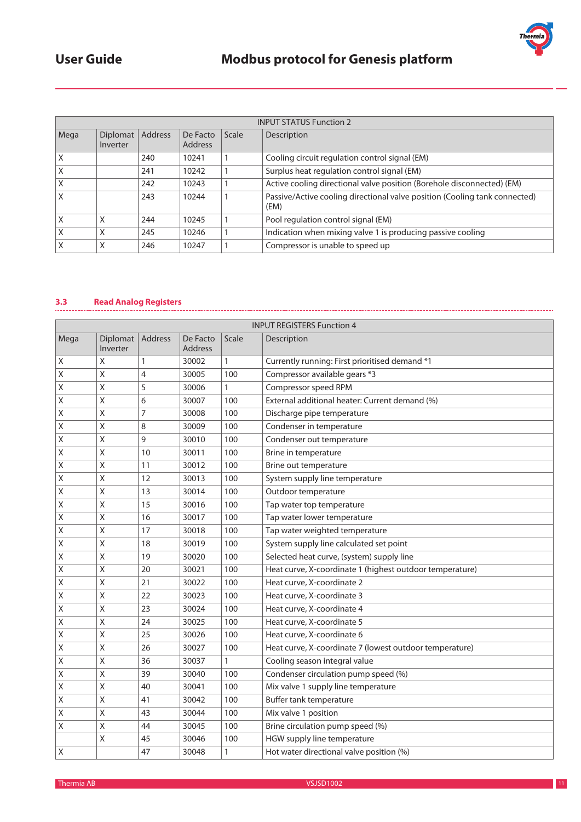

<span id="page-10-0"></span>

|                           | <b>INPUT STATUS Function 2</b> |                |                            |              |                                                                                    |  |  |  |  |
|---------------------------|--------------------------------|----------------|----------------------------|--------------|------------------------------------------------------------------------------------|--|--|--|--|
| Mega                      | Diplomat<br>Inverter           | <b>Address</b> | De Facto<br><b>Address</b> | <b>Scale</b> | Description                                                                        |  |  |  |  |
| ΙX                        |                                | 240            | 10241                      |              | Cooling circuit regulation control signal (EM)                                     |  |  |  |  |
| <b>X</b>                  |                                | 241            | 10242                      |              | Surplus heat regulation control signal (EM)                                        |  |  |  |  |
| <b>X</b>                  |                                | 242            | 10243                      |              | Active cooling directional valve position (Borehole disconnected) (EM)             |  |  |  |  |
| $\boldsymbol{\mathsf{X}}$ |                                | 243            | 10244                      |              | Passive/Active cooling directional valve position (Cooling tank connected)<br>(EM) |  |  |  |  |
| $\mathsf{X}$              | Χ                              | 244            | 10245                      |              | Pool regulation control signal (EM)                                                |  |  |  |  |
| $\mathsf{X}$              | Χ                              | 245            | 10246                      |              | Indication when mixing valve 1 is producing passive cooling                        |  |  |  |  |
| $\mathsf{X}$              | $\checkmark$<br>⋏              | 246            | 10247                      |              | Compressor is unable to speed up                                                   |  |  |  |  |

# **3.3 Read Analog Registers**

|              | <b>INPUT REGISTERS Function 4</b> |                |                     |              |                                                          |  |  |  |  |
|--------------|-----------------------------------|----------------|---------------------|--------------|----------------------------------------------------------|--|--|--|--|
| Mega         | Diplomat<br>Inverter              | <b>Address</b> | De Facto<br>Address | Scale        | Description                                              |  |  |  |  |
| X            | X                                 | $\mathbf{1}$   | 30002               | $\mathbf{1}$ | Currently running: First prioritised demand *1           |  |  |  |  |
| $\mathsf X$  | X                                 | $\overline{4}$ | 30005               | 100          | Compressor available gears *3                            |  |  |  |  |
| X            | X                                 | 5              | 30006               | 1            | Compressor speed RPM                                     |  |  |  |  |
| Χ            | $\sf X$                           | 6              | 30007               | 100          | External additional heater: Current demand (%)           |  |  |  |  |
| X            | X                                 | $\overline{7}$ | 30008               | 100          | Discharge pipe temperature                               |  |  |  |  |
| X            | X                                 | 8              | 30009               | 100          | Condenser in temperature                                 |  |  |  |  |
| X            | X                                 | 9              | 30010               | 100          | Condenser out temperature                                |  |  |  |  |
| $\mathsf X$  | $\sf X$                           | 10             | 30011               | 100          | Brine in temperature                                     |  |  |  |  |
| X            | X                                 | 11             | 30012               | 100          | Brine out temperature                                    |  |  |  |  |
| X            | X                                 | 12             | 30013               | 100          | System supply line temperature                           |  |  |  |  |
| X            | X                                 | 13             | 30014               | 100          | Outdoor temperature                                      |  |  |  |  |
| $\mathsf X$  | X                                 | 15             | 30016               | 100          | Tap water top temperature                                |  |  |  |  |
| X            | X                                 | 16             | 30017               | 100          | Tap water lower temperature                              |  |  |  |  |
| $\mathsf X$  | $\sf X$                           | 17             | 30018               | 100          | Tap water weighted temperature                           |  |  |  |  |
| X            | X                                 | 18             | 30019               | 100          | System supply line calculated set point                  |  |  |  |  |
| $\mathsf X$  | $\sf X$                           | 19             | 30020               | 100          | Selected heat curve, (system) supply line                |  |  |  |  |
| $\mathsf X$  | $\sf X$                           | 20             | 30021               | 100          | Heat curve, X-coordinate 1 (highest outdoor temperature) |  |  |  |  |
| X            | $\mathsf{X}$                      | 21             | 30022               | 100          | Heat curve, X-coordinate 2                               |  |  |  |  |
| X            | X                                 | 22             | 30023               | 100          | Heat curve, X-coordinate 3                               |  |  |  |  |
| $\mathsf X$  | $\sf X$                           | 23             | 30024               | 100          | Heat curve, X-coordinate 4                               |  |  |  |  |
| Χ            | X                                 | 24             | 30025               | 100          | Heat curve, X-coordinate 5                               |  |  |  |  |
| X            | X                                 | 25             | 30026               | 100          | Heat curve, X-coordinate 6                               |  |  |  |  |
| X            | X                                 | 26             | 30027               | 100          | Heat curve, X-coordinate 7 (lowest outdoor temperature)  |  |  |  |  |
| $\mathsf X$  | X                                 | 36             | 30037               | $\mathbf{1}$ | Cooling season integral value                            |  |  |  |  |
| $\mathsf{X}$ | $\overline{\mathsf{X}}$           | 39             | 30040               | 100          | Condenser circulation pump speed (%)                     |  |  |  |  |
| X            | X                                 | 40             | 30041               | 100          | Mix valve 1 supply line temperature                      |  |  |  |  |
| Χ            | X                                 | 41             | 30042               | 100          | Buffer tank temperature                                  |  |  |  |  |
| $\mathsf X$  | $\sf X$                           | 43             | 30044               | 100          | Mix valve 1 position                                     |  |  |  |  |
| X            | X                                 | 44             | 30045               | 100          | Brine circulation pump speed (%)                         |  |  |  |  |
|              | X                                 | 45             | 30046               | 100          | HGW supply line temperature                              |  |  |  |  |
| X            |                                   | 47             | 30048               | 1            | Hot water directional valve position (%)                 |  |  |  |  |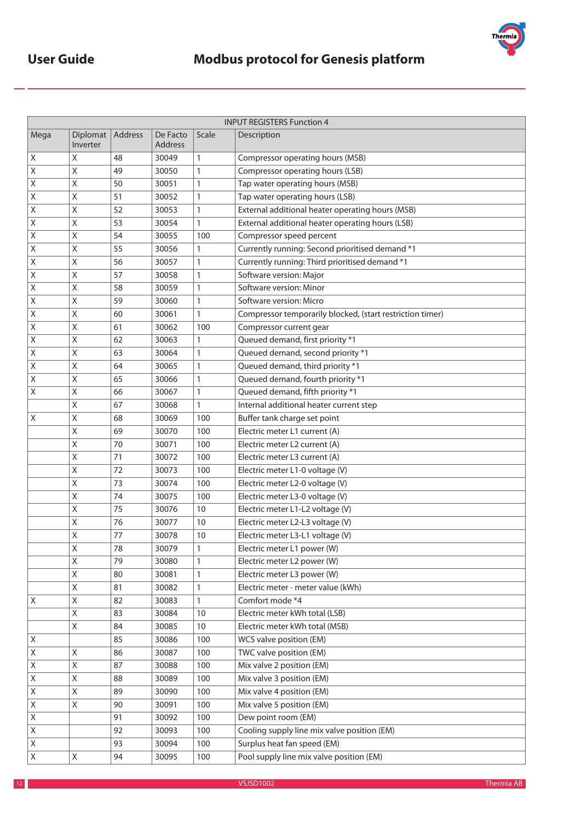

|             | <b>INPUT REGISTERS Function 4</b> |         |                            |              |                                                           |  |
|-------------|-----------------------------------|---------|----------------------------|--------------|-----------------------------------------------------------|--|
| Mega        | Diplomat<br>Inverter              | Address | De Facto<br><b>Address</b> | Scale        | Description                                               |  |
| $\sf X$     | X                                 | 48      | 30049                      | 1            | Compressor operating hours (MSB)                          |  |
| $\sf X$     | X                                 | 49      | 30050                      | $\mathbf{1}$ | Compressor operating hours (LSB)                          |  |
| $\mathsf X$ | $\mathsf X$                       | 50      | 30051                      | 1            | Tap water operating hours (MSB)                           |  |
| $\mathsf X$ | X                                 | 51      | 30052                      | 1            | Tap water operating hours (LSB)                           |  |
| $\mathsf X$ | $\mathsf X$                       | 52      | 30053                      | $\mathbf{1}$ | External additional heater operating hours (MSB)          |  |
| $\mathsf X$ | X                                 | 53      | 30054                      | $\mathbf{1}$ | External additional heater operating hours (LSB)          |  |
| $\mathsf X$ | X                                 | 54      | 30055                      | 100          | Compressor speed percent                                  |  |
| $\mathsf X$ | X                                 | 55      | 30056                      | 1            | Currently running: Second prioritised demand *1           |  |
| $\sf X$     | $\mathsf X$                       | 56      | 30057                      | $\mathbf{1}$ | Currently running: Third prioritised demand *1            |  |
| $\sf X$     | X                                 | 57      | 30058                      | $\mathbf{1}$ | Software version: Major                                   |  |
| $\sf X$     | $\mathsf X$                       | 58      | 30059                      | $\mathbf{1}$ | Software version: Minor                                   |  |
| $\mathsf X$ | X                                 | 59      | 30060                      | 1            | Software version: Micro                                   |  |
| X           | X                                 | 60      | 30061                      | $\mathbf{1}$ | Compressor temporarily blocked, (start restriction timer) |  |
| $\mathsf X$ | $\mathsf X$                       | 61      | 30062                      | 100          | Compressor current gear                                   |  |
| X           | X                                 | 62      | 30063                      | 1            | Queued demand, first priority *1                          |  |
| $\mathsf X$ | Χ                                 | 63      | 30064                      | 1            | Queued demand, second priority *1                         |  |
| $\sf X$     | X                                 | 64      | 30065                      | 1            | Queued demand, third priority *1                          |  |
| $\sf X$     | $\mathsf X$                       | 65      | 30066                      | $\mathbf{1}$ | Queued demand, fourth priority *1                         |  |
| $\mathsf X$ | X                                 | 66      | 30067                      | 1            | Queued demand, fifth priority *1                          |  |
|             | X                                 | 67      | 30068                      | $\mathbf{1}$ | Internal additional heater current step                   |  |
| X           | Χ                                 | 68      | 30069                      | 100          | Buffer tank charge set point                              |  |
|             | X                                 | 69      | 30070                      | 100          | Electric meter L1 current (A)                             |  |
|             | X                                 | 70      | 30071                      | 100          | Electric meter L2 current (A)                             |  |
|             | X                                 | 71      | 30072                      | 100          | Electric meter L3 current (A)                             |  |
|             | Χ                                 | 72      | 30073                      | 100          | Electric meter L1-0 voltage (V)                           |  |
|             | Χ                                 | 73      | 30074                      | 100          | Electric meter L2-0 voltage (V)                           |  |
|             | $\mathsf X$                       | 74      | 30075                      | 100          | Electric meter L3-0 voltage (V)                           |  |
|             | X                                 | 75      | 30076                      | 10           | Electric meter L1-L2 voltage (V)                          |  |
|             | X                                 | 76      | 30077                      | 10           | Electric meter L2-L3 voltage (V)                          |  |
|             | Χ                                 | 77      | 30078                      | 10           | Electric meter L3-L1 voltage (V)                          |  |
|             | X                                 | 78      | 30079                      | 1            | Electric meter L1 power (W)                               |  |
|             | Χ                                 | 79      | 30080                      | 1            | Electric meter L2 power (W)                               |  |
|             | Χ                                 | 80      | 30081                      | 1            | Electric meter L3 power (W)                               |  |
|             | $\mathsf X$                       | 81      | 30082                      | 1            | Electric meter - meter value (kWh)                        |  |
| Χ           | $\mathsf X$                       | 82      | 30083                      | 1            | Comfort mode *4                                           |  |
|             | X                                 | 83      | 30084                      | 10           | Electric meter kWh total (LSB)                            |  |
|             | X                                 | 84      | 30085                      | $10$         | Electric meter kWh total (MSB)                            |  |
| $\mathsf X$ |                                   | 85      | 30086                      | 100          | WCS valve position (EM)                                   |  |
| $\mathsf X$ | $\mathsf X$                       | 86      | 30087                      | 100          | TWC valve position (EM)                                   |  |
| $\mathsf X$ | X                                 | 87      | 30088                      | 100          | Mix valve 2 position (EM)                                 |  |
| $\mathsf X$ | Χ                                 | 88      | 30089                      | 100          | Mix valve 3 position (EM)                                 |  |
| $\mathsf X$ | Χ                                 | 89      | 30090                      | 100          | Mix valve 4 position (EM)                                 |  |
| $\mathsf X$ | Χ                                 | 90      | 30091                      | 100          | Mix valve 5 position (EM)                                 |  |
| $\mathsf X$ |                                   | 91      | 30092                      | 100          | Dew point room (EM)                                       |  |
| $\mathsf X$ |                                   | 92      | 30093                      | 100          | Cooling supply line mix valve position (EM)               |  |
| $\mathsf X$ |                                   | 93      | 30094                      | 100          | Surplus heat fan speed (EM)                               |  |
| $\mathsf X$ | $\mathsf X$                       | 94      | 30095                      | 100          | Pool supply line mix valve position (EM)                  |  |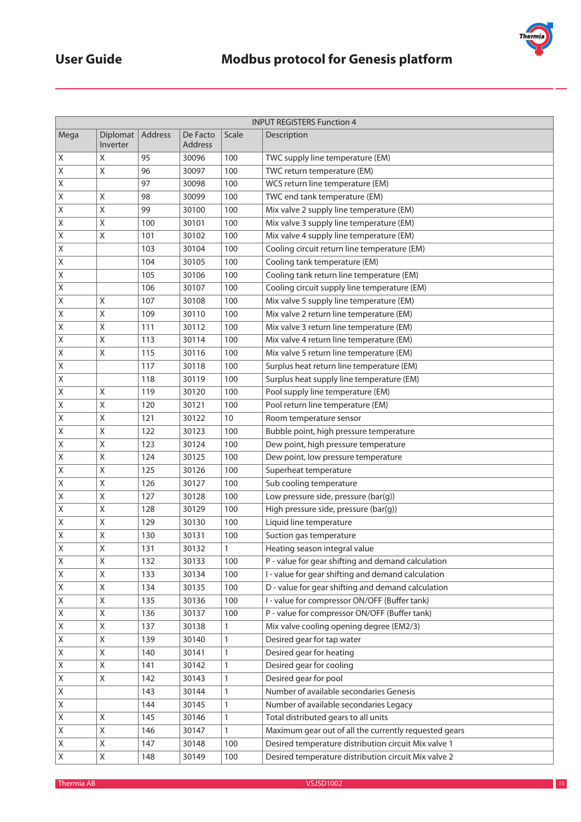

|             |                             |         |                            |       | <b>INPUT REGISTERS Function 4</b>                     |
|-------------|-----------------------------|---------|----------------------------|-------|-------------------------------------------------------|
| Mega        | Diplomat<br><b>Inverter</b> | Address | De Facto<br><b>Address</b> | Scale | Description                                           |
| X           | X                           | 95      | 30096                      | 100   | TWC supply line temperature (EM)                      |
| $\mathsf X$ | X                           | 96      | 30097                      | 100   | TWC return temperature (EM)                           |
| $\mathsf X$ |                             | 97      | 30098                      | 100   | WCS return line temperature (EM)                      |
| $\mathsf X$ | $\sf X$                     | 98      | 30099                      | 100   | TWC end tank temperature (EM)                         |
| $\mathsf X$ | $\sf X$                     | 99      | 30100                      | 100   | Mix valve 2 supply line temperature (EM)              |
| $\mathsf X$ | $\mathsf X$                 | 100     | 30101                      | 100   | Mix valve 3 supply line temperature (EM)              |
| Χ           | X                           | 101     | 30102                      | 100   | Mix valve 4 supply line temperature (EM)              |
| $\mathsf X$ |                             | 103     | 30104                      | 100   | Cooling circuit return line temperature (EM)          |
| $\mathsf X$ |                             | 104     | 30105                      | 100   | Cooling tank temperature (EM)                         |
| $\mathsf X$ |                             | 105     | 30106                      | 100   | Cooling tank return line temperature (EM)             |
| $\mathsf X$ |                             | 106     | 30107                      | 100   | Cooling circuit supply line temperature (EM)          |
| Χ           | Χ                           | 107     | 30108                      | 100   | Mix valve 5 supply line temperature (EM)              |
| $\mathsf X$ | $\mathsf X$                 | 109     | 30110                      | 100   | Mix valve 2 return line temperature (EM)              |
| $\mathsf X$ | $\sf X$                     | 111     | 30112                      | 100   | Mix valve 3 return line temperature (EM)              |
| $\mathsf X$ | Χ                           | 113     | 30114                      | 100   | Mix valve 4 return line temperature (EM)              |
| Χ           | X                           | 115     | 30116                      | 100   | Mix valve 5 return line temperature (EM)              |
| $\mathsf X$ |                             | 117     | 30118                      | 100   | Surplus heat return line temperature (EM)             |
| $\mathsf X$ |                             | 118     | 30119                      | 100   | Surplus heat supply line temperature (EM)             |
| $\mathsf X$ | X                           | 119     | 30120                      | 100   | Pool supply line temperature (EM)                     |
| X           | X                           | 120     | 30121                      | 100   | Pool return line temperature (EM)                     |
| Χ           | $\sf X$                     | 121     | 30122                      | 10    | Room temperature sensor                               |
| $\mathsf X$ | $\mathsf X$                 | 122     | 30123                      | 100   | Bubble point, high pressure temperature               |
| $\mathsf X$ | $\sf X$                     | 123     | 30124                      | 100   | Dew point, high pressure temperature                  |
| $\mathsf X$ | $\mathsf X$                 | 124     | 30125                      | 100   | Dew point, low pressure temperature                   |
| Χ           | X                           | 125     | 30126                      | 100   | Superheat temperature                                 |
| $\mathsf X$ | $\mathsf X$                 | 126     | 30127                      | 100   | Sub cooling temperature                               |
| $\mathsf X$ | $\mathsf X$                 | 127     | 30128                      | 100   | Low pressure side, pressure (bar(g))                  |
| $\sf X$     | $\sf X$                     | 128     | 30129                      | 100   | High pressure side, pressure (bar(g))                 |
| X           | $\mathsf X$                 | 129     | 30130                      | 100   | Liquid line temperature                               |
| $\sf X$     | $\sf X$                     | 130     | 30131                      | 100   | Suction gas temperature                               |
| $\mathsf X$ | $\sf X$                     | 131     | 30132                      | 1     | Heating season integral value                         |
| X           | Χ                           | 132     | 30133                      | 100   | P - value for gear shifting and demand calculation    |
| $\mathsf X$ | X                           | 133     | 30134                      | 100   | I - value for gear shifting and demand calculation    |
| $\mathsf X$ | X                           | 134     | 30135                      | 100   | D - value for gear shifting and demand calculation    |
| $\mathsf X$ | X                           | 135     | 30136                      | 100   | I - value for compressor ON/OFF (Buffer tank)         |
| $\mathsf X$ | $\mathsf X$                 | 136     | 30137                      | 100   | P - value for compressor ON/OFF (Buffer tank)         |
| $\mathsf X$ | X                           | 137     | 30138                      | 1     | Mix valve cooling opening degree (EM2/3)              |
| X           | X                           | 139     | 30140                      | 1     | Desired gear for tap water                            |
| $\mathsf X$ | X                           | 140     | 30141                      | 1     | Desired gear for heating                              |
| $\mathsf X$ | $\mathsf X$                 | 141     | 30142                      | 1     | Desired gear for cooling                              |
| $\mathsf X$ | $\mathsf X$                 | 142     | 30143                      | 1     | Desired gear for pool                                 |
| $\mathsf X$ |                             | 143     | 30144                      | 1     | Number of available secondaries Genesis               |
| $\mathsf X$ |                             | 144     | 30145                      | 1     | Number of available secondaries Legacy                |
| $\mathsf X$ | X                           | 145     | 30146                      | 1     | Total distributed gears to all units                  |
| Χ           | $\mathsf X$                 | 146     | 30147                      | 1     | Maximum gear out of all the currently requested gears |
| $\mathsf X$ | Χ                           | 147     | 30148                      | 100   | Desired temperature distribution circuit Mix valve 1  |
| $\mathsf X$ | X                           | 148     | 30149                      | 100   | Desired temperature distribution circuit Mix valve 2  |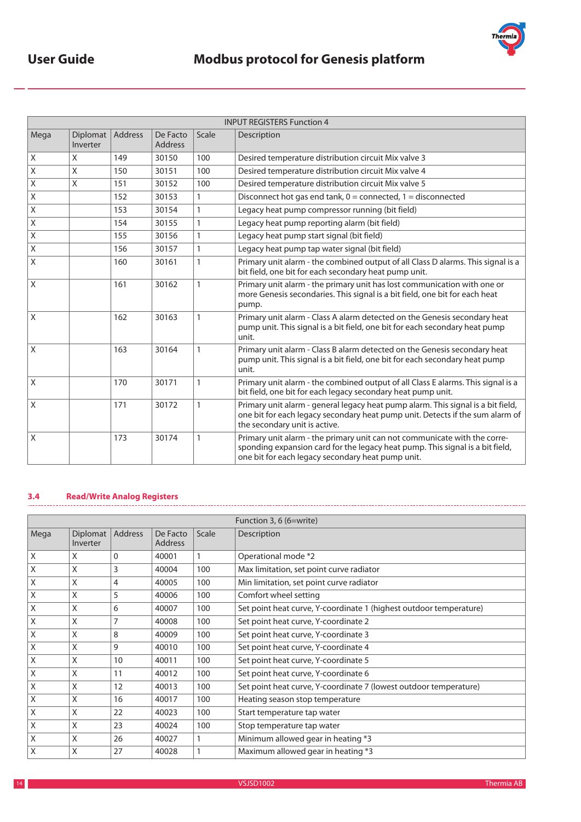

<span id="page-13-0"></span>

|                    | <b>INPUT REGISTERS Function 4</b> |         |                            |              |                                                                                                                                                                                                                 |  |  |  |
|--------------------|-----------------------------------|---------|----------------------------|--------------|-----------------------------------------------------------------------------------------------------------------------------------------------------------------------------------------------------------------|--|--|--|
| Mega               | Diplomat<br>Inverter              | Address | De Facto<br><b>Address</b> | Scale        | Description                                                                                                                                                                                                     |  |  |  |
| X                  | X                                 | 149     | 30150                      | 100          | Desired temperature distribution circuit Mix valve 3                                                                                                                                                            |  |  |  |
| $\mathsf X$        | X                                 | 150     | 30151                      | 100          | Desired temperature distribution circuit Mix valve 4                                                                                                                                                            |  |  |  |
| Χ                  | $\mathsf{X}$                      | 151     | 30152                      | 100          | Desired temperature distribution circuit Mix valve 5                                                                                                                                                            |  |  |  |
| $\mathsf{X}% _{0}$ |                                   | 152     | 30153                      | $\mathbf{1}$ | Disconnect hot gas end tank, $0 =$ connected, $1 =$ disconnected                                                                                                                                                |  |  |  |
| $\mathsf{X}% _{0}$ |                                   | 153     | 30154                      | $\mathbf{1}$ | Legacy heat pump compressor running (bit field)                                                                                                                                                                 |  |  |  |
| $\mathsf X$        |                                   | 154     | 30155                      | $\mathbf{1}$ | Legacy heat pump reporting alarm (bit field)                                                                                                                                                                    |  |  |  |
| Χ                  |                                   | 155     | 30156                      | $\mathbf{1}$ | Legacy heat pump start signal (bit field)                                                                                                                                                                       |  |  |  |
| X                  |                                   | 156     | 30157                      | $\mathbf{1}$ | Legacy heat pump tap water signal (bit field)                                                                                                                                                                   |  |  |  |
| X                  |                                   | 160     | 30161                      | 1            | Primary unit alarm - the combined output of all Class D alarms. This signal is a<br>bit field, one bit for each secondary heat pump unit.                                                                       |  |  |  |
| X                  |                                   | 161     | 30162                      | $\mathbf{1}$ | Primary unit alarm - the primary unit has lost communication with one or<br>more Genesis secondaries. This signal is a bit field, one bit for each heat<br>pump.                                                |  |  |  |
| $\sf X$            |                                   | 162     | 30163                      | 1            | Primary unit alarm - Class A alarm detected on the Genesis secondary heat<br>pump unit. This signal is a bit field, one bit for each secondary heat pump<br>unit.                                               |  |  |  |
| X                  |                                   | 163     | 30164                      | 1            | Primary unit alarm - Class B alarm detected on the Genesis secondary heat<br>pump unit. This signal is a bit field, one bit for each secondary heat pump<br>unit.                                               |  |  |  |
| X                  |                                   | 170     | 30171                      | 1            | Primary unit alarm - the combined output of all Class E alarms. This signal is a<br>bit field, one bit for each legacy secondary heat pump unit.                                                                |  |  |  |
| Χ                  |                                   | 171     | 30172                      | $\mathbf{1}$ | Primary unit alarm - general legacy heat pump alarm. This signal is a bit field,<br>one bit for each legacy secondary heat pump unit. Detects if the sum alarm of<br>the secondary unit is active.              |  |  |  |
| X                  |                                   | 173     | 30174                      | 1            | Primary unit alarm - the primary unit can not communicate with the corre-<br>sponding expansion card for the legacy heat pump. This signal is a bit field,<br>one bit for each legacy secondary heat pump unit. |  |  |  |

## **3.4 Read/Write Analog Registers**

|      | Function 3, 6 (6=write)     |                |                            |       |                                                                    |  |  |  |  |
|------|-----------------------------|----------------|----------------------------|-------|--------------------------------------------------------------------|--|--|--|--|
| Mega | <b>Diplomat</b><br>Inverter | <b>Address</b> | De Facto<br><b>Address</b> | Scale | Description                                                        |  |  |  |  |
| X    | X                           | $\Omega$       | 40001                      |       | Operational mode *2                                                |  |  |  |  |
| X    | X                           | 3              | 40004                      | 100   | Max limitation, set point curve radiator                           |  |  |  |  |
| Χ    | X                           | 4              | 40005                      | 100   | Min limitation, set point curve radiator                           |  |  |  |  |
| X    | X                           | 5              | 40006                      | 100   | Comfort wheel setting                                              |  |  |  |  |
| Χ    | X                           | 6              | 40007                      | 100   | Set point heat curve, Y-coordinate 1 (highest outdoor temperature) |  |  |  |  |
| X    | X                           | 7              | 40008                      | 100   | Set point heat curve, Y-coordinate 2                               |  |  |  |  |
| Χ    | X                           | 8              | 40009                      | 100   | Set point heat curve, Y-coordinate 3                               |  |  |  |  |
| Χ    | X                           | 9              | 40010                      | 100   | Set point heat curve, Y-coordinate 4                               |  |  |  |  |
| Χ    | X                           | 10             | 40011                      | 100   | Set point heat curve, Y-coordinate 5                               |  |  |  |  |
| X    | X                           | 11             | 40012                      | 100   | Set point heat curve, Y-coordinate 6                               |  |  |  |  |
| X    | X                           | 12             | 40013                      | 100   | Set point heat curve, Y-coordinate 7 (lowest outdoor temperature)  |  |  |  |  |
| X    | X                           | 16             | 40017                      | 100   | Heating season stop temperature                                    |  |  |  |  |
| X    | X                           | 22             | 40023                      | 100   | Start temperature tap water                                        |  |  |  |  |
| X    | X                           | 23             | 40024                      | 100   | Stop temperature tap water                                         |  |  |  |  |
| X    | X                           | 26             | 40027                      |       | Minimum allowed gear in heating *3                                 |  |  |  |  |
| X    | X                           | 27             | 40028                      |       | Maximum allowed gear in heating *3                                 |  |  |  |  |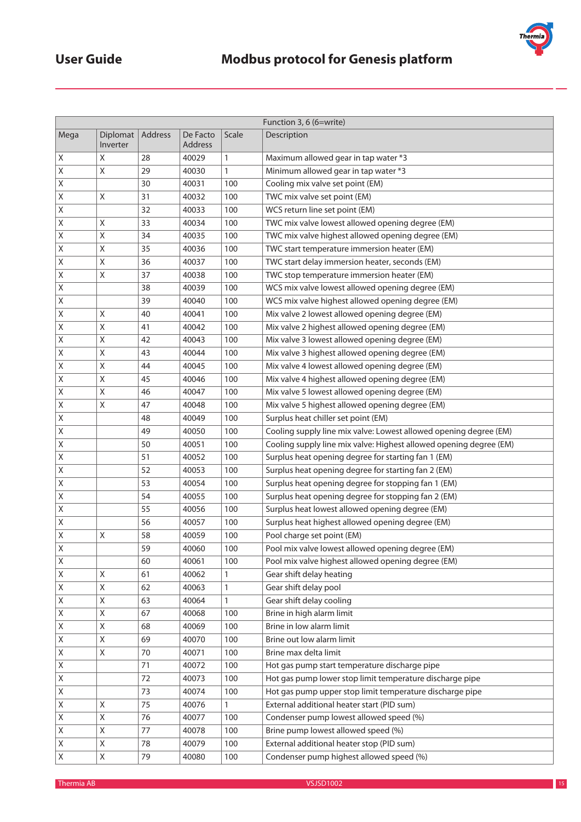

|             |                         |                |                            |       | Function 3, 6 (6=write)                                            |
|-------------|-------------------------|----------------|----------------------------|-------|--------------------------------------------------------------------|
| Mega        | Diplomat<br>Inverter    | <b>Address</b> | De Facto<br><b>Address</b> | Scale | Description                                                        |
| $\mathsf X$ | X                       | 28             | 40029                      | 1     | Maximum allowed gear in tap water *3                               |
| $\mathsf X$ | X                       | 29             | 40030                      | 1     | Minimum allowed gear in tap water *3                               |
| $\mathsf X$ |                         | 30             | 40031                      | 100   | Cooling mix valve set point (EM)                                   |
| $\mathsf X$ | $\mathsf X$             | 31             | 40032                      | 100   | TWC mix valve set point (EM)                                       |
| $\mathsf X$ |                         | 32             | 40033                      | 100   | WCS return line set point (EM)                                     |
| $\mathsf X$ | Χ                       | 33             | 40034                      | 100   | TWC mix valve lowest allowed opening degree (EM)                   |
| $\mathsf X$ | X                       | 34             | 40035                      | 100   | TWC mix valve highest allowed opening degree (EM)                  |
| $\mathsf X$ | $\mathsf X$             | 35             | 40036                      | 100   | TWC start temperature immersion heater (EM)                        |
| $\mathsf X$ | $\mathsf X$             | 36             | 40037                      | 100   | TWC start delay immersion heater, seconds (EM)                     |
| $\mathsf X$ | $\overline{\mathsf{X}}$ | 37             | 40038                      | 100   | TWC stop temperature immersion heater (EM)                         |
| $\mathsf X$ |                         | 38             | 40039                      | 100   | WCS mix valve lowest allowed opening degree (EM)                   |
| $\mathsf X$ |                         | 39             | 40040                      | 100   | WCS mix valve highest allowed opening degree (EM)                  |
| $\mathsf X$ | $\sf X$                 | 40             | 40041                      | 100   | Mix valve 2 lowest allowed opening degree (EM)                     |
| $\mathsf X$ | $\mathsf X$             | 41             | 40042                      | 100   | Mix valve 2 highest allowed opening degree (EM)                    |
| $\mathsf X$ | Χ                       | 42             | 40043                      | 100   | Mix valve 3 lowest allowed opening degree (EM)                     |
| Χ           | Χ                       | 43             | 40044                      | 100   | Mix valve 3 highest allowed opening degree (EM)                    |
| $\mathsf X$ | $\mathsf X$             | 44             | 40045                      | 100   | Mix valve 4 lowest allowed opening degree (EM)                     |
| $\mathsf X$ | $\mathsf X$             | 45             | 40046                      | 100   | Mix valve 4 highest allowed opening degree (EM)                    |
| $\mathsf X$ | $\sf X$                 | 46             | 40047                      | 100   | Mix valve 5 lowest allowed opening degree (EM)                     |
| $\mathsf X$ | X                       | 47             | 40048                      | 100   | Mix valve 5 highest allowed opening degree (EM)                    |
| Χ           |                         | 48             | 40049                      | 100   | Surplus heat chiller set point (EM)                                |
| $\mathsf X$ |                         | 49             | 40050                      | 100   | Cooling supply line mix valve: Lowest allowed opening degree (EM)  |
| $\mathsf X$ |                         | 50             | 40051                      | 100   | Cooling supply line mix valve: Highest allowed opening degree (EM) |
| $\mathsf X$ |                         | 51             | 40052                      | 100   | Surplus heat opening degree for starting fan 1 (EM)                |
| Χ           |                         | 52             | 40053                      | 100   | Surplus heat opening degree for starting fan 2 (EM)                |
| $\mathsf X$ |                         | 53             | 40054                      | 100   | Surplus heat opening degree for stopping fan 1 (EM)                |
| $\mathsf X$ |                         | 54             | 40055                      | 100   | Surplus heat opening degree for stopping fan 2 (EM)                |
| $\sf X$     |                         | 55             | 40056                      | 100   | Surplus heat lowest allowed opening degree (EM)                    |
| $\mathsf X$ |                         | 56             | 40057                      | 100   | Surplus heat highest allowed opening degree (EM)                   |
| $\mathsf X$ | X                       | 58             | 40059                      | 100   | Pool charge set point (EM)                                         |
| $\mathsf X$ |                         | 59             | 40060                      | 100   | Pool mix valve lowest allowed opening degree (EM)                  |
| $\mathsf X$ |                         | 60             | 40061                      | 100   | Pool mix valve highest allowed opening degree (EM)                 |
| $\mathsf X$ | Χ                       | 61             | 40062                      | 1     | Gear shift delay heating                                           |
| Χ           | X                       | 62             | 40063                      | 1     | Gear shift delay pool                                              |
| $\mathsf X$ | X                       | 63             | 40064                      | 1     | Gear shift delay cooling                                           |
| $\mathsf X$ | $\mathsf X$             | 67             | 40068                      | 100   | Brine in high alarm limit                                          |
| Χ           | $\mathsf X$             | 68             | 40069                      | 100   | Brine in low alarm limit                                           |
| $\mathsf X$ | X                       | 69             | 40070                      | 100   | Brine out low alarm limit                                          |
| Χ           | X                       | 70             | 40071                      | 100   | Brine max delta limit                                              |
| $\mathsf X$ |                         | 71             | 40072                      | 100   | Hot gas pump start temperature discharge pipe                      |
| $\mathsf X$ |                         | 72             | 40073                      | 100   | Hot gas pump lower stop limit temperature discharge pipe           |
| $\mathsf X$ |                         | 73             | 40074                      | 100   | Hot gas pump upper stop limit temperature discharge pipe           |
| Χ           | Χ                       | 75             | 40076                      | 1     | External additional heater start (PID sum)                         |
| $\mathsf X$ | X                       | 76             | 40077                      | 100   | Condenser pump lowest allowed speed (%)                            |
| $\mathsf X$ | Χ                       | 77             | 40078                      | 100   | Brine pump lowest allowed speed (%)                                |
| Χ           | Χ                       | 78             | 40079                      | 100   | External additional heater stop (PID sum)                          |
| $\mathsf X$ | X                       | 79             | 40080                      | 100   | Condenser pump highest allowed speed (%)                           |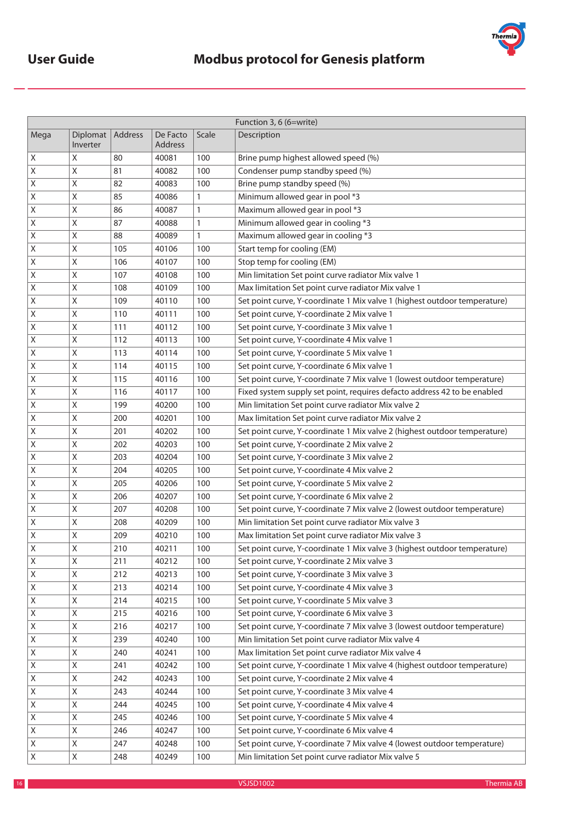

|             |                      |         |                     |       | Function 3, 6 (6=write)                                                   |
|-------------|----------------------|---------|---------------------|-------|---------------------------------------------------------------------------|
| Mega        | Diplomat<br>Inverter | Address | De Facto<br>Address | Scale | Description                                                               |
| $\mathsf X$ | X                    | 80      | 40081               | 100   | Brine pump highest allowed speed (%)                                      |
| $\sf X$     | X                    | 81      | 40082               | 100   | Condenser pump standby speed (%)                                          |
| $\mathsf X$ | $\mathsf X$          | 82      | 40083               | 100   | Brine pump standby speed (%)                                              |
| $\mathsf X$ | X                    | 85      | 40086               | 1     | Minimum allowed gear in pool *3                                           |
| $\mathsf X$ | X                    | 86      | 40087               | 1     | Maximum allowed gear in pool *3                                           |
| $\mathsf X$ | X                    | 87      | 40088               | 1     | Minimum allowed gear in cooling *3                                        |
| $\mathsf X$ | Χ                    | 88      | 40089               | 1     | Maximum allowed gear in cooling *3                                        |
| $\mathsf X$ | X                    | 105     | 40106               | 100   | Start temp for cooling (EM)                                               |
| $\mathsf X$ | $\mathsf X$          | 106     | 40107               | 100   | Stop temp for cooling (EM)                                                |
| $\sf X$     | X                    | 107     | 40108               | 100   | Min limitation Set point curve radiator Mix valve 1                       |
| $\mathsf X$ | $\mathsf X$          | 108     | 40109               | 100   | Max limitation Set point curve radiator Mix valve 1                       |
| $\mathsf X$ | X                    | 109     | 40110               | 100   | Set point curve, Y-coordinate 1 Mix valve 1 (highest outdoor temperature) |
| $\mathsf X$ | X                    | 110     | 40111               | 100   | Set point curve, Y-coordinate 2 Mix valve 1                               |
| $\mathsf X$ | X                    | 111     | 40112               | 100   | Set point curve, Y-coordinate 3 Mix valve 1                               |
| $\mathsf X$ | X                    | 112     | 40113               | 100   | Set point curve, Y-coordinate 4 Mix valve 1                               |
| $\mathsf X$ | Χ                    | 113     | 40114               | 100   | Set point curve, Y-coordinate 5 Mix valve 1                               |
| $\mathsf X$ | X                    | 114     | 40115               | 100   | Set point curve, Y-coordinate 6 Mix valve 1                               |
| $\mathsf X$ | $\mathsf X$          | 115     | 40116               | 100   | Set point curve, Y-coordinate 7 Mix valve 1 (lowest outdoor temperature)  |
| $\mathsf X$ | X                    | 116     | 40117               | 100   | Fixed system supply set point, requires defacto address 42 to be enabled  |
| $\sf X$     | X                    | 199     | 40200               | 100   | Min limitation Set point curve radiator Mix valve 2                       |
| $\mathsf X$ | $\mathsf X$          | 200     | 40201               | 100   | Max limitation Set point curve radiator Mix valve 2                       |
| $\mathsf X$ | X                    | 201     | 40202               | 100   | Set point curve, Y-coordinate 1 Mix valve 2 (highest outdoor temperature) |
| $\mathsf X$ | $\mathsf X$          | 202     | 40203               | 100   | Set point curve, Y-coordinate 2 Mix valve 2                               |
| $\mathsf X$ | X                    | 203     | 40204               | 100   | Set point curve, Y-coordinate 3 Mix valve 2                               |
| $\mathsf X$ | X                    | 204     | 40205               | 100   | Set point curve, Y-coordinate 4 Mix valve 2                               |
| Χ           | Χ                    | 205     | 40206               | 100   | Set point curve, Y-coordinate 5 Mix valve 2                               |
| $\mathsf X$ | $\mathsf X$          | 206     | 40207               | 100   | Set point curve, Y-coordinate 6 Mix valve 2                               |
| $\mathsf X$ | X                    | 207     | 40208               | 100   | Set point curve, Y-coordinate 7 Mix valve 2 (lowest outdoor temperature)  |
| $\mathsf X$ | $\mathsf X$          | 208     | 40209               | 100   | Min limitation Set point curve radiator Mix valve 3                       |
| $\mathsf X$ | $\mathsf X$          | 209     | 40210               | 100   | Max limitation Set point curve radiator Mix valve 3                       |
| X           | X                    | 210     | 40211               | 100   | Set point curve, Y-coordinate 1 Mix valve 3 (highest outdoor temperature) |
| X           | Χ                    | 211     | 40212               | 100   | Set point curve, Y-coordinate 2 Mix valve 3                               |
| $\mathsf X$ | X                    | 212     | 40213               | 100   | Set point curve, Y-coordinate 3 Mix valve 3                               |
| $\mathsf X$ | $\mathsf X$          | 213     | 40214               | 100   | Set point curve, Y-coordinate 4 Mix valve 3                               |
| $\mathsf X$ | Χ                    | 214     | 40215               | 100   | Set point curve, Y-coordinate 5 Mix valve 3                               |
| $\mathsf X$ | X                    | 215     | 40216               | 100   | Set point curve, Y-coordinate 6 Mix valve 3                               |
| $\mathsf X$ | X                    | 216     | 40217               | 100   | Set point curve, Y-coordinate 7 Mix valve 3 (lowest outdoor temperature)  |
| $\mathsf X$ | Χ                    | 239     | 40240               | 100   | Min limitation Set point curve radiator Mix valve 4                       |
| $\mathsf X$ | Χ                    | 240     | 40241               | 100   | Max limitation Set point curve radiator Mix valve 4                       |
| $\mathsf X$ | X                    | 241     | 40242               | 100   | Set point curve, Y-coordinate 1 Mix valve 4 (highest outdoor temperature) |
| $\mathsf X$ | X                    | 242     | 40243               | 100   | Set point curve, Y-coordinate 2 Mix valve 4                               |
| $\mathsf X$ | X                    | 243     | 40244               | 100   | Set point curve, Y-coordinate 3 Mix valve 4                               |
| $\mathsf X$ | $\mathsf X$          | 244     | 40245               | 100   | Set point curve, Y-coordinate 4 Mix valve 4                               |
| $\mathsf X$ | Χ                    | 245     | 40246               | 100   | Set point curve, Y-coordinate 5 Mix valve 4                               |
| $\mathsf X$ | Χ                    | 246     | 40247               | 100   | Set point curve, Y-coordinate 6 Mix valve 4                               |
| $\mathsf X$ | X                    | 247     | 40248               | 100   | Set point curve, Y-coordinate 7 Mix valve 4 (lowest outdoor temperature)  |
| $\mathsf X$ | Χ                    | 248     | 40249               | 100   | Min limitation Set point curve radiator Mix valve 5                       |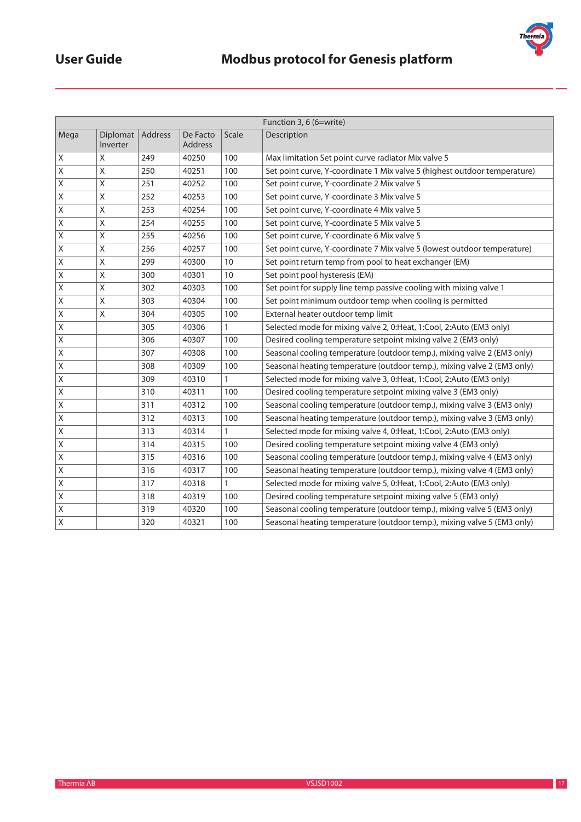

| Function 3, 6 (6=write) |                      |         |                     |                 |                                                                           |  |  |
|-------------------------|----------------------|---------|---------------------|-----------------|---------------------------------------------------------------------------|--|--|
| Mega                    | Diplomat<br>Inverter | Address | De Facto<br>Address | Scale           | Description                                                               |  |  |
| $\mathsf X$             | X                    | 249     | 40250               | 100             | Max limitation Set point curve radiator Mix valve 5                       |  |  |
| $\mathsf X$             | X                    | 250     | 40251               | 100             | Set point curve, Y-coordinate 1 Mix valve 5 (highest outdoor temperature) |  |  |
| Χ                       | X                    | 251     | 40252               | 100             | Set point curve, Y-coordinate 2 Mix valve 5                               |  |  |
| $\mathsf X$             | Χ                    | 252     | 40253               | 100             | Set point curve, Y-coordinate 3 Mix valve 5                               |  |  |
| $\mathsf X$             | Χ                    | 253     | 40254               | 100             | Set point curve, Y-coordinate 4 Mix valve 5                               |  |  |
| Χ                       | X                    | 254     | 40255               | 100             | Set point curve, Y-coordinate 5 Mix valve 5                               |  |  |
| $\mathsf X$             | Χ                    | 255     | 40256               | 100             | Set point curve, Y-coordinate 6 Mix valve 5                               |  |  |
| $\mathsf X$             | Χ                    | 256     | 40257               | 100             | Set point curve, Y-coordinate 7 Mix valve 5 (lowest outdoor temperature)  |  |  |
| Χ                       | X                    | 299     | 40300               | 10 <sup>°</sup> | Set point return temp from pool to heat exchanger (EM)                    |  |  |
| $\mathsf X$             | Χ                    | 300     | 40301               | 10 <sup>°</sup> | Set point pool hysteresis (EM)                                            |  |  |
| $\mathsf X$             | X                    | 302     | 40303               | 100             | Set point for supply line temp passive cooling with mixing valve 1        |  |  |
| X                       | X                    | 303     | 40304               | 100             | Set point minimum outdoor temp when cooling is permitted                  |  |  |
| $\mathsf X$             | Χ                    | 304     | 40305               | 100             | External heater outdoor temp limit                                        |  |  |
| $\mathsf X$             |                      | 305     | 40306               | 1               | Selected mode for mixing valve 2, 0:Heat, 1:Cool, 2:Auto (EM3 only)       |  |  |
| $\mathsf X$             |                      | 306     | 40307               | 100             | Desired cooling temperature setpoint mixing valve 2 (EM3 only)            |  |  |
| $\mathsf X$             |                      | 307     | 40308               | 100             | Seasonal cooling temperature (outdoor temp.), mixing valve 2 (EM3 only)   |  |  |
| $\overline{\mathsf{X}}$ |                      | 308     | 40309               | 100             | Seasonal heating temperature (outdoor temp.), mixing valve 2 (EM3 only)   |  |  |
| $\mathsf X$             |                      | 309     | 40310               | $\mathbf{1}$    | Selected mode for mixing valve 3, 0:Heat, 1:Cool, 2:Auto (EM3 only)       |  |  |
| $\mathsf X$             |                      | 310     | 40311               | 100             | Desired cooling temperature setpoint mixing valve 3 (EM3 only)            |  |  |
| $\mathsf X$             |                      | 311     | 40312               | 100             | Seasonal cooling temperature (outdoor temp.), mixing valve 3 (EM3 only)   |  |  |
| $\mathsf X$             |                      | 312     | 40313               | 100             | Seasonal heating temperature (outdoor temp.), mixing valve 3 (EM3 only)   |  |  |
| $\mathsf X$             |                      | 313     | 40314               | 1               | Selected mode for mixing valve 4, 0:Heat, 1:Cool, 2:Auto (EM3 only)       |  |  |
| $\mathsf X$             |                      | 314     | 40315               | 100             | Desired cooling temperature setpoint mixing valve 4 (EM3 only)            |  |  |
| $\overline{\mathsf{X}}$ |                      | 315     | 40316               | 100             | Seasonal cooling temperature (outdoor temp.), mixing valve 4 (EM3 only)   |  |  |
| $\mathsf X$             |                      | 316     | 40317               | 100             | Seasonal heating temperature (outdoor temp.), mixing valve 4 (EM3 only)   |  |  |
| $\mathsf X$             |                      | 317     | 40318               | 1               | Selected mode for mixing valve 5, 0:Heat, 1:Cool, 2:Auto (EM3 only)       |  |  |
| $\mathsf X$             |                      | 318     | 40319               | 100             | Desired cooling temperature setpoint mixing valve 5 (EM3 only)            |  |  |
| $\mathsf X$             |                      | 319     | 40320               | 100             | Seasonal cooling temperature (outdoor temp.), mixing valve 5 (EM3 only)   |  |  |
| $\mathsf X$             |                      | 320     | 40321               | 100             | Seasonal heating temperature (outdoor temp.), mixing valve 5 (EM3 only)   |  |  |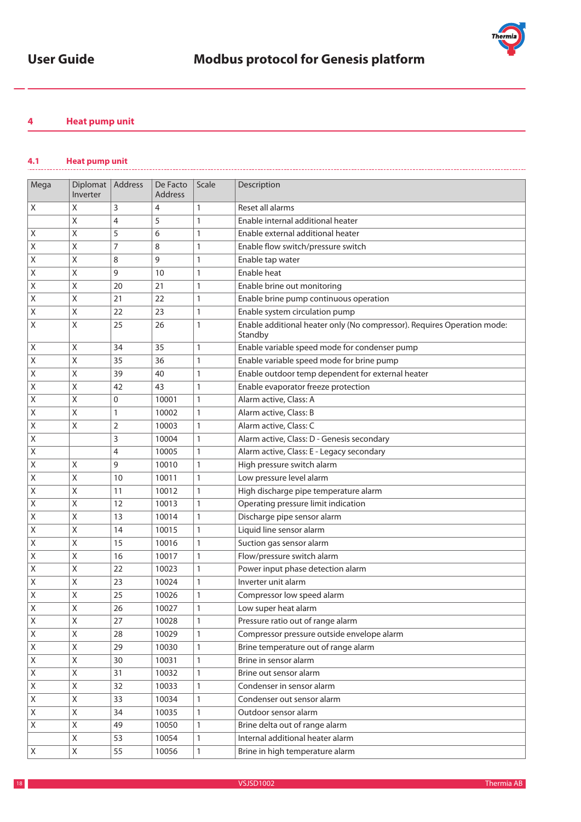

## <span id="page-17-0"></span>**4 Heat pump unit**

#### **4.1 Heat pump unit**

| Mega                    | Diplomat<br>Inverter | Address | De Facto<br><b>Address</b> | <b>Scale</b> | Description                                                                        |
|-------------------------|----------------------|---------|----------------------------|--------------|------------------------------------------------------------------------------------|
| $\mathsf X$             | Χ                    | 3       | 4                          | 1            | Reset all alarms                                                                   |
|                         | X                    | 4       | 5                          | $\mathbf{1}$ | Enable internal additional heater                                                  |
| $\mathsf X$             | Χ                    | 5       | 6                          | $\mathbf{1}$ | Enable external additional heater                                                  |
| Χ                       | X                    | 7       | 8                          | 1            | Enable flow switch/pressure switch                                                 |
| $\sf X$                 | Χ                    | 8       | 9                          | 1            | Enable tap water                                                                   |
| $\sf X$                 | X                    | 9       | 10                         | 1            | Enable heat                                                                        |
| $\sf X$                 | X                    | 20      | 21                         | $\mathbf{1}$ | Enable brine out monitoring                                                        |
| Χ                       | X                    | 21      | 22                         | 1            | Enable brine pump continuous operation                                             |
| Χ                       | X                    | 22      | 23                         | $\mathbf{1}$ | Enable system circulation pump                                                     |
| X                       | X                    | 25      | 26                         | $\mathbf{1}$ | Enable additional heater only (No compressor). Requires Operation mode:<br>Standby |
| $\mathsf X$             | Χ                    | 34      | 35                         | $\mathbf{1}$ | Enable variable speed mode for condenser pump                                      |
| $\mathsf X$             | X                    | 35      | 36                         | 1            | Enable variable speed mode for brine pump                                          |
| $\mathsf X$             | X                    | 39      | 40                         | $\mathbf{1}$ | Enable outdoor temp dependent for external heater                                  |
| Χ                       | X                    | 42      | 43                         | 1            | Enable evaporator freeze protection                                                |
| Χ                       | X                    | 0       | 10001                      | $\mathbf{1}$ | Alarm active, Class: A                                                             |
| $\sf X$                 | X                    | 1       | 10002                      | $\mathbf{1}$ | Alarm active, Class: B                                                             |
| Χ                       | Χ                    | 2       | 10003                      | $\mathbf{1}$ | Alarm active, Class: C                                                             |
| Χ                       |                      | 3       | 10004                      | 1            | Alarm active, Class: D - Genesis secondary                                         |
| Χ                       |                      | 4       | 10005                      | 1            | Alarm active, Class: E - Legacy secondary                                          |
| $\mathsf X$             | Χ                    | 9       | 10010                      | $\mathbf{1}$ | High pressure switch alarm                                                         |
| $\sf X$                 | Χ                    | 10      | 10011                      | $\mathbf{1}$ | Low pressure level alarm                                                           |
| Χ                       | X                    | 11      | 10012                      | $\mathbf{1}$ | High discharge pipe temperature alarm                                              |
| Χ                       | X                    | 12      | 10013                      | 1            | Operating pressure limit indication                                                |
| $\sf X$                 | X                    | 13      | 10014                      | $\mathbf{1}$ | Discharge pipe sensor alarm                                                        |
| $\sf X$                 | X                    | 14      | 10015                      | $\mathbf{1}$ | Liquid line sensor alarm                                                           |
| Χ                       | Χ                    | 15      | 10016                      | $\mathbf{1}$ | Suction gas sensor alarm                                                           |
| Χ                       | Χ                    | 16      | 10017                      | 1            | Flow/pressure switch alarm                                                         |
| Χ                       | X                    | 22      | 10023                      | 1            | Power input phase detection alarm                                                  |
| $\chi$                  | Χ                    | 23      | 10024                      | $\mathbf{1}$ | Inverter unit alarm                                                                |
| Χ                       | Χ                    | 25      | 10026                      | 1            | Compressor low speed alarm                                                         |
| $\chi$                  | Χ                    | 26      | 10027                      | $\mathbf{1}$ | Low super heat alarm                                                               |
| $\sf X$                 | $\mathsf X$          | 27      | 10028                      | 1            | Pressure ratio out of range alarm                                                  |
| $\mathsf X$             | X                    | 28      | 10029                      | 1            | Compressor pressure outside envelope alarm                                         |
| $\mathsf X$             | Χ                    | 29      | 10030                      | $\mathbf{1}$ | Brine temperature out of range alarm                                               |
| $\overline{\mathsf{X}}$ | Χ                    | 30      | 10031                      | 1            | Brine in sensor alarm                                                              |
| $\mathsf X$             | X                    | 31      | 10032                      | 1            | Brine out sensor alarm                                                             |
| $\mathsf X$             | X                    | 32      | 10033                      | 1            | Condenser in sensor alarm                                                          |
| $\mathsf X$             | Χ                    | 33      | 10034                      | $\mathbf{1}$ | Condenser out sensor alarm                                                         |
| $\sf X$                 | Χ                    | 34      | 10035                      | $\mathbf{1}$ | Outdoor sensor alarm                                                               |
| $\mathsf X$             | Χ                    | 49      | 10050                      | 1            | Brine delta out of range alarm                                                     |
|                         | X                    | 53      | 10054                      | 1            | Internal additional heater alarm                                                   |
| $\mathsf X$             | Χ                    | 55      | 10056                      | $\mathbf{1}$ | Brine in high temperature alarm                                                    |

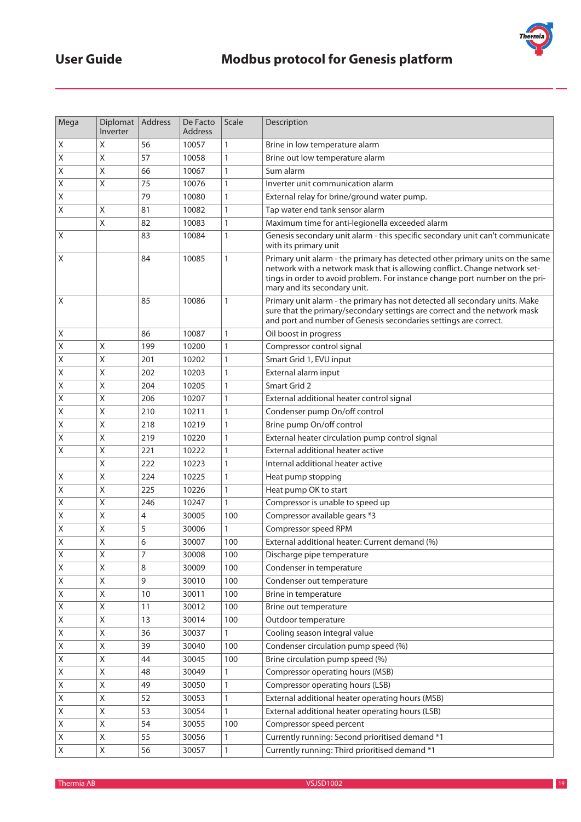

| Mega         | Diplomat<br>Inverter | Address | De Facto<br><b>Address</b> | Scale        | Description                                                                                                                                                                                                                                                                 |
|--------------|----------------------|---------|----------------------------|--------------|-----------------------------------------------------------------------------------------------------------------------------------------------------------------------------------------------------------------------------------------------------------------------------|
| $\mathsf X$  | X                    | 56      | 10057                      | 1            | Brine in low temperature alarm                                                                                                                                                                                                                                              |
| $\mathsf X$  | Χ                    | 57      | 10058                      | $\mathbf{1}$ | Brine out low temperature alarm                                                                                                                                                                                                                                             |
| $\mathsf X$  | Χ                    | 66      | 10067                      | $\mathbf{1}$ | Sum alarm                                                                                                                                                                                                                                                                   |
| $\mathsf X$  | Χ                    | 75      | 10076                      | $\mathbf{1}$ | Inverter unit communication alarm                                                                                                                                                                                                                                           |
| $\mathsf X$  |                      | 79      | 10080                      | $\mathbf{1}$ | External relay for brine/ground water pump.                                                                                                                                                                                                                                 |
| X            | Χ                    | 81      | 10082                      | $\mathbf{1}$ | Tap water end tank sensor alarm                                                                                                                                                                                                                                             |
|              | Χ                    | 82      | 10083                      | $\mathbf{1}$ | Maximum time for anti-legionella exceeded alarm                                                                                                                                                                                                                             |
| $\mathsf X$  |                      | 83      | 10084                      | 1            | Genesis secondary unit alarm - this specific secondary unit can't communicate<br>with its primary unit                                                                                                                                                                      |
| $\mathsf{X}$ |                      | 84      | 10085                      | $\mathbf{1}$ | Primary unit alarm - the primary has detected other primary units on the same<br>network with a network mask that is allowing conflict. Change network set-<br>tings in order to avoid problem. For instance change port number on the pri-<br>mary and its secondary unit. |
| $\mathsf{X}$ |                      | 85      | 10086                      | 1            | Primary unit alarm - the primary has not detected all secondary units. Make<br>sure that the primary/secondary settings are correct and the network mask<br>and port and number of Genesis secondaries settings are correct.                                                |
| $\mathsf X$  |                      | 86      | 10087                      | $\mathbf{1}$ | Oil boost in progress                                                                                                                                                                                                                                                       |
| $\mathsf X$  | Χ                    | 199     | 10200                      | $\mathbf{1}$ | Compressor control signal                                                                                                                                                                                                                                                   |
| $\mathsf X$  | Χ                    | 201     | 10202                      | 1            | Smart Grid 1, EVU input                                                                                                                                                                                                                                                     |
| $\mathsf X$  | X                    | 202     | 10203                      | $\mathbf{1}$ | External alarm input                                                                                                                                                                                                                                                        |
| $\mathsf X$  | Χ                    | 204     | 10205                      | $\mathbf{1}$ | Smart Grid 2                                                                                                                                                                                                                                                                |
| $\mathsf X$  | X                    | 206     | 10207                      | $\mathbf{1}$ | External additional heater control signal                                                                                                                                                                                                                                   |
| X            | Χ                    | 210     | 10211                      | 1            | Condenser pump On/off control                                                                                                                                                                                                                                               |
| Χ            | X                    | 218     | 10219                      | 1            | Brine pump On/off control                                                                                                                                                                                                                                                   |
| $\mathsf X$  | Χ                    | 219     | 10220                      | $\mathbf{1}$ | External heater circulation pump control signal                                                                                                                                                                                                                             |
| $\mathsf X$  | Χ                    | 221     | 10222                      | $\mathbf{1}$ | External additional heater active                                                                                                                                                                                                                                           |
|              | Χ                    | 222     | 10223                      | $\mathbf{1}$ | Internal additional heater active                                                                                                                                                                                                                                           |
| $\mathsf X$  | Χ                    | 224     | 10225                      | 1            | Heat pump stopping                                                                                                                                                                                                                                                          |
| $\mathsf X$  | Χ                    | 225     | 10226                      | $\mathbf{1}$ | Heat pump OK to start                                                                                                                                                                                                                                                       |
| $\mathsf X$  | Χ                    | 246     | 10247                      | $\mathbf{1}$ | Compressor is unable to speed up                                                                                                                                                                                                                                            |
| $\mathsf X$  | X                    | 4       | 30005                      | 100          | Compressor available gears *3                                                                                                                                                                                                                                               |
| $\mathsf X$  | Χ                    | 5       | 30006                      | 1            | Compressor speed RPM                                                                                                                                                                                                                                                        |
| X            | Χ                    | 6       | 30007                      | 100          | External additional heater: Current demand (%)                                                                                                                                                                                                                              |
| $\mathsf{X}$ | Χ                    | 7       | 30008                      | 100          | Discharge pipe temperature                                                                                                                                                                                                                                                  |
| $\mathsf X$  | Χ                    | 8       | 30009                      | 100          | Condenser in temperature                                                                                                                                                                                                                                                    |
| $\mathsf X$  | Χ                    | 9       | 30010                      | 100          | Condenser out temperature                                                                                                                                                                                                                                                   |
| $\mathsf X$  | Χ                    | 10      | 30011                      | 100          | Brine in temperature                                                                                                                                                                                                                                                        |
| $\mathsf X$  | Χ                    | 11      | 30012                      | 100          | Brine out temperature                                                                                                                                                                                                                                                       |
| $\mathsf X$  | Χ                    | 13      | 30014                      | 100          | Outdoor temperature                                                                                                                                                                                                                                                         |
| $\mathsf X$  | Χ                    | 36      | 30037                      | 1            | Cooling season integral value                                                                                                                                                                                                                                               |
| $\mathsf X$  | Χ                    | 39      | 30040                      | 100          | Condenser circulation pump speed (%)                                                                                                                                                                                                                                        |
| $\mathsf X$  | Χ                    | 44      | 30045                      | 100          | Brine circulation pump speed (%)                                                                                                                                                                                                                                            |
| $\mathsf X$  | Χ                    | 48      | 30049                      | 1            | Compressor operating hours (MSB)                                                                                                                                                                                                                                            |
| $\mathsf X$  | Χ                    | 49      | 30050                      | 1            | Compressor operating hours (LSB)                                                                                                                                                                                                                                            |
| $\mathsf X$  | Χ                    | 52      | 30053                      | 1            | External additional heater operating hours (MSB)                                                                                                                                                                                                                            |
| $\mathsf X$  | Χ                    | 53      | 30054                      | 1            | External additional heater operating hours (LSB)                                                                                                                                                                                                                            |
| $\mathsf X$  | Χ                    | 54      | 30055                      | 100          | Compressor speed percent                                                                                                                                                                                                                                                    |
| $\mathsf X$  | Χ                    | 55      | 30056                      | 1            | Currently running: Second prioritised demand *1                                                                                                                                                                                                                             |
| $\mathsf X$  | Χ                    | 56      | 30057                      | $\mathbf{1}$ | Currently running: Third prioritised demand *1                                                                                                                                                                                                                              |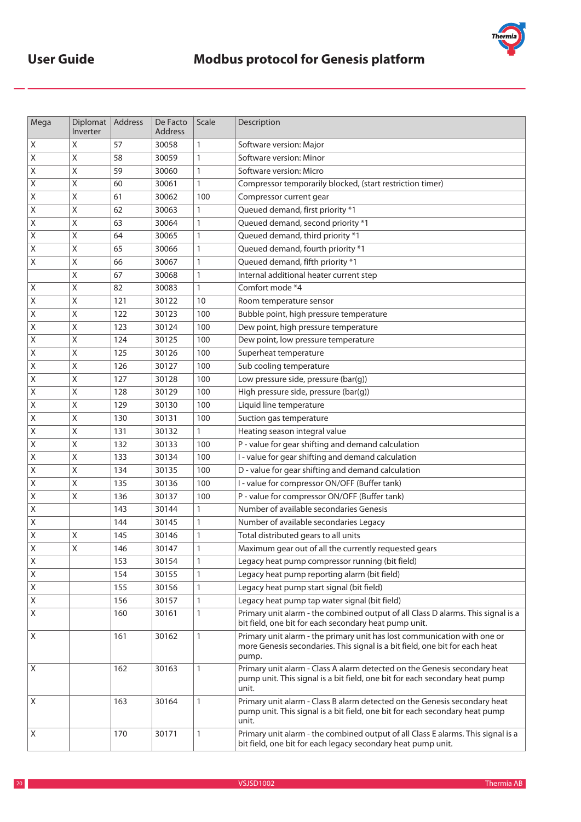

| Mega                      | Diplomat<br>Inverter | Address | De Facto<br><b>Address</b> | Scale        | Description                                                                                                                                                       |
|---------------------------|----------------------|---------|----------------------------|--------------|-------------------------------------------------------------------------------------------------------------------------------------------------------------------|
| $\mathsf X$               | X                    | 57      | 30058                      | 1            | Software version: Major                                                                                                                                           |
| $\mathsf X$               | $\mathsf X$          | 58      | 30059                      | 1            | Software version: Minor                                                                                                                                           |
| $\mathsf X$               | Χ                    | 59      | 30060                      | 1            | Software version: Micro                                                                                                                                           |
| Χ                         | X                    | 60      | 30061                      | 1            | Compressor temporarily blocked, (start restriction timer)                                                                                                         |
| $\mathsf X$               | X                    | 61      | 30062                      | 100          | Compressor current gear                                                                                                                                           |
| $\mathsf X$               | Χ                    | 62      | 30063                      | 1            | Queued demand, first priority *1                                                                                                                                  |
| $\mathsf X$               | X                    | 63      | 30064                      | 1            | Queued demand, second priority *1                                                                                                                                 |
| $\mathsf X$               | Χ                    | 64      | 30065                      | 1            | Queued demand, third priority *1                                                                                                                                  |
| Χ                         | X                    | 65      | 30066                      | $\mathbf{1}$ | Queued demand, fourth priority *1                                                                                                                                 |
| $\mathsf X$               | Χ                    | 66      | 30067                      | 1            | Queued demand, fifth priority *1                                                                                                                                  |
|                           | Χ                    | 67      | 30068                      | 1            | Internal additional heater current step                                                                                                                           |
| $\mathsf X$               | Χ                    | 82      | 30083                      | 1            | Comfort mode *4                                                                                                                                                   |
| Χ                         | X                    | 121     | 30122                      | 10           | Room temperature sensor                                                                                                                                           |
| $\mathsf X$               | X                    | 122     | 30123                      | 100          | Bubble point, high pressure temperature                                                                                                                           |
| $\mathsf X$               | Χ                    | 123     | 30124                      | 100          | Dew point, high pressure temperature                                                                                                                              |
| $\mathsf X$               | X                    | 124     | 30125                      | 100          | Dew point, low pressure temperature                                                                                                                               |
| Χ                         | X                    | 125     | 30126                      | 100          | Superheat temperature                                                                                                                                             |
| $\mathsf X$               | X                    | 126     | 30127                      | 100          | Sub cooling temperature                                                                                                                                           |
| $\mathsf X$               | Χ                    | 127     | 30128                      | 100          | Low pressure side, pressure (bar(g))                                                                                                                              |
| $\mathsf X$               | Χ                    | 128     | 30129                      | 100          | High pressure side, pressure (bar(g))                                                                                                                             |
| Χ                         | Χ                    | 129     | 30130                      | 100          | Liquid line temperature                                                                                                                                           |
| Χ                         | X                    | 130     | 30131                      | 100          | Suction gas temperature                                                                                                                                           |
| $\mathsf X$               | X                    | 131     | 30132                      | 1            | Heating season integral value                                                                                                                                     |
| $\mathsf X$               | Χ                    | 132     | 30133                      | 100          | P - value for gear shifting and demand calculation                                                                                                                |
| $\mathsf X$               | $\mathsf X$          | 133     | 30134                      | 100          | I - value for gear shifting and demand calculation                                                                                                                |
| Χ                         | X                    | 134     | 30135                      | 100          | D - value for gear shifting and demand calculation                                                                                                                |
| $\mathsf X$               | X                    | 135     | 30136                      | 100          | I - value for compressor ON/OFF (Buffer tank)                                                                                                                     |
| $\mathsf X$               | X                    | 136     | 30137                      | 100          | P - value for compressor ON/OFF (Buffer tank)                                                                                                                     |
| $\mathsf X$               |                      | 143     | 30144                      | 1            | Number of available secondaries Genesis                                                                                                                           |
| $\mathsf X$               |                      | 144     | 30145                      | 1            | Number of available secondaries Legacy                                                                                                                            |
| $\mathsf X$               | Χ                    | 145     | 30146                      | 1            | Total distributed gears to all units                                                                                                                              |
| $\mathsf X$               | Χ                    | 146     | 30147                      | 1            | Maximum gear out of all the currently requested gears                                                                                                             |
| $\mathsf X$               |                      | 153     | 30154                      | 1            | Legacy heat pump compressor running (bit field)                                                                                                                   |
| $\overline{\mathsf{X}}$   |                      | 154     | 30155                      | 1            | Legacy heat pump reporting alarm (bit field)                                                                                                                      |
| $\mathsf X$               |                      | 155     | 30156                      | 1            | Legacy heat pump start signal (bit field)                                                                                                                         |
| $\mathsf X$               |                      | 156     | 30157                      | 1            | Legacy heat pump tap water signal (bit field)                                                                                                                     |
| $\mathsf X$               |                      | 160     | 30161                      | 1            | Primary unit alarm - the combined output of all Class D alarms. This signal is a<br>bit field, one bit for each secondary heat pump unit.                         |
| $\mathsf X$               |                      | 161     | 30162                      | $\mathbf{1}$ | Primary unit alarm - the primary unit has lost communication with one or<br>more Genesis secondaries. This signal is a bit field, one bit for each heat<br>pump.  |
| $\mathsf X$               |                      | 162     | 30163                      | 1            | Primary unit alarm - Class A alarm detected on the Genesis secondary heat<br>pump unit. This signal is a bit field, one bit for each secondary heat pump<br>unit. |
| $\boldsymbol{\mathsf{X}}$ |                      | 163     | 30164                      | $\mathbf{1}$ | Primary unit alarm - Class B alarm detected on the Genesis secondary heat<br>pump unit. This signal is a bit field, one bit for each secondary heat pump<br>unit. |
| $\mathsf X$               |                      | 170     | 30171                      | 1            | Primary unit alarm - the combined output of all Class E alarms. This signal is a<br>bit field, one bit for each legacy secondary heat pump unit.                  |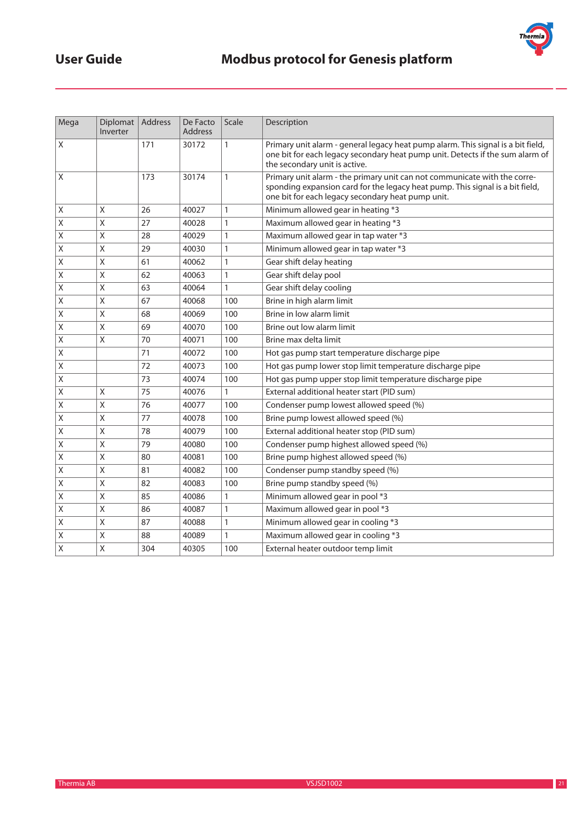# **User Guide Modbus protocol for Genesis platform**



| Mega                    | Diplomat<br>Inverter | Address | De Facto<br><b>Address</b> | Scale        | Description                                                                                                                                                                                                     |
|-------------------------|----------------------|---------|----------------------------|--------------|-----------------------------------------------------------------------------------------------------------------------------------------------------------------------------------------------------------------|
| $\mathsf X$             |                      | 171     | 30172                      | $\mathbf{1}$ | Primary unit alarm - general legacy heat pump alarm. This signal is a bit field,<br>one bit for each legacy secondary heat pump unit. Detects if the sum alarm of<br>the secondary unit is active.              |
| $\mathsf X$             |                      | 173     | 30174                      | $\mathbf{1}$ | Primary unit alarm - the primary unit can not communicate with the corre-<br>sponding expansion card for the legacy heat pump. This signal is a bit field,<br>one bit for each legacy secondary heat pump unit. |
| $\mathsf X$             | X                    | 26      | 40027                      | 1            | Minimum allowed gear in heating *3                                                                                                                                                                              |
| $\mathsf X$             | Χ                    | 27      | 40028                      | $\mathbf{1}$ | Maximum allowed gear in heating *3                                                                                                                                                                              |
| $\mathsf X$             | Χ                    | 28      | 40029                      | 1            | Maximum allowed gear in tap water *3                                                                                                                                                                            |
| $\mathsf X$             | X                    | 29      | 40030                      | $\mathbf{1}$ | Minimum allowed gear in tap water *3                                                                                                                                                                            |
| $\mathsf X$             | Χ                    | 61      | 40062                      | $\mathbf{1}$ | Gear shift delay heating                                                                                                                                                                                        |
| $\mathsf X$             | X                    | 62      | 40063                      | $\mathbf{1}$ | Gear shift delay pool                                                                                                                                                                                           |
| $\mathsf X$             | X                    | 63      | 40064                      | 1            | Gear shift delay cooling                                                                                                                                                                                        |
| $\mathsf X$             | Χ                    | 67      | 40068                      | 100          | Brine in high alarm limit                                                                                                                                                                                       |
| $\mathsf X$             | Χ                    | 68      | 40069                      | 100          | Brine in low alarm limit                                                                                                                                                                                        |
| $\mathsf X$             | Χ                    | 69      | 40070                      | 100          | Brine out low alarm limit                                                                                                                                                                                       |
| $\overline{X}$          | X                    | 70      | 40071                      | 100          | Brine max delta limit                                                                                                                                                                                           |
| $\mathsf X$             |                      | 71      | 40072                      | 100          | Hot gas pump start temperature discharge pipe                                                                                                                                                                   |
| $\overline{\mathsf{X}}$ |                      | 72      | 40073                      | 100          | Hot gas pump lower stop limit temperature discharge pipe                                                                                                                                                        |
| $\mathsf X$             |                      | 73      | 40074                      | 100          | Hot gas pump upper stop limit temperature discharge pipe                                                                                                                                                        |
| $\mathsf X$             | X                    | 75      | 40076                      | 1            | External additional heater start (PID sum)                                                                                                                                                                      |
| $\mathsf X$             | X                    | 76      | 40077                      | 100          | Condenser pump lowest allowed speed (%)                                                                                                                                                                         |
| $\mathsf X$             | X                    | 77      | 40078                      | 100          | Brine pump lowest allowed speed (%)                                                                                                                                                                             |
| $\mathsf X$             | X                    | 78      | 40079                      | 100          | External additional heater stop (PID sum)                                                                                                                                                                       |
| $\mathsf X$             | Χ                    | 79      | 40080                      | 100          | Condenser pump highest allowed speed (%)                                                                                                                                                                        |
| $\overline{X}$          | X                    | 80      | 40081                      | 100          | Brine pump highest allowed speed (%)                                                                                                                                                                            |
| $\mathsf X$             | Χ                    | 81      | 40082                      | 100          | Condenser pump standby speed (%)                                                                                                                                                                                |
| $\mathsf X$             | Χ                    | 82      | 40083                      | 100          | Brine pump standby speed (%)                                                                                                                                                                                    |
| $\mathsf X$             | Χ                    | 85      | 40086                      | $\mathbf{1}$ | Minimum allowed gear in pool *3                                                                                                                                                                                 |
| $\mathsf X$             | Χ                    | 86      | 40087                      | $\mathbf{1}$ | Maximum allowed gear in pool *3                                                                                                                                                                                 |
| $\mathsf X$             | X                    | 87      | 40088                      | 1            | Minimum allowed gear in cooling *3                                                                                                                                                                              |
| $\mathsf X$             | Χ                    | 88      | 40089                      | 1            | Maximum allowed gear in cooling *3                                                                                                                                                                              |
| $\overline{\mathsf{X}}$ | Χ                    | 304     | 40305                      | 100          | External heater outdoor temp limit                                                                                                                                                                              |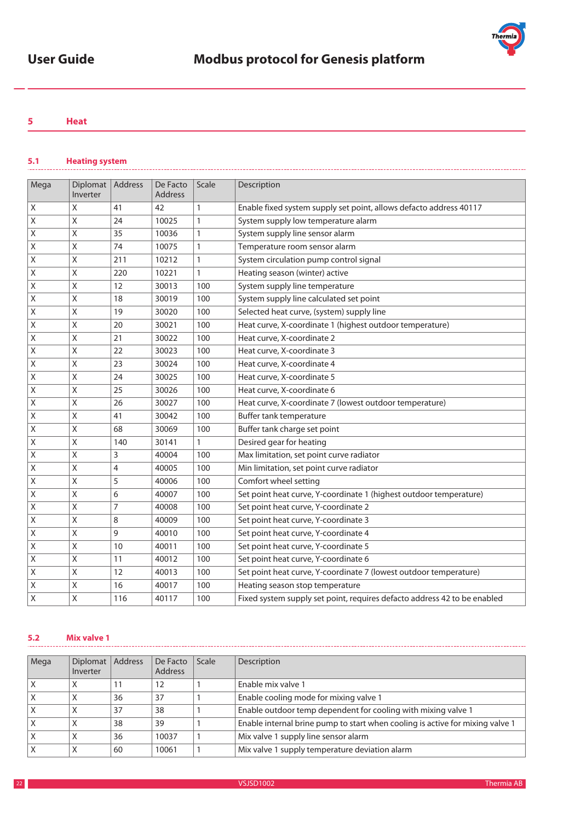

<span id="page-21-0"></span>**5 Heat**

#### **5.1 Heating system**

| Mega        | Diplomat<br>Inverter | Address | De Facto<br><b>Address</b> | Scale        | Description                                                              |
|-------------|----------------------|---------|----------------------------|--------------|--------------------------------------------------------------------------|
| $\sf X$     | X                    | 41      | 42                         | 1            | Enable fixed system supply set point, allows defacto address 40117       |
| X           | X                    | 24      | 10025                      | 1            | System supply low temperature alarm                                      |
| $\mathsf X$ | Χ                    | 35      | 10036                      | 1            | System supply line sensor alarm                                          |
| Χ           | X                    | 74      | 10075                      | 1            | Temperature room sensor alarm                                            |
| X           | Χ                    | 211     | 10212                      | $\mathbf{1}$ | System circulation pump control signal                                   |
| Χ           | X                    | 220     | 10221                      | 1            | Heating season (winter) active                                           |
| X           | X                    | 12      | 30013                      | 100          | System supply line temperature                                           |
| Χ           | X                    | 18      | 30019                      | 100          | System supply line calculated set point                                  |
| X           | X                    | 19      | 30020                      | 100          | Selected heat curve, (system) supply line                                |
| Χ           | X                    | 20      | 30021                      | 100          | Heat curve, X-coordinate 1 (highest outdoor temperature)                 |
| Χ           | Χ                    | 21      | 30022                      | 100          | Heat curve, X-coordinate 2                                               |
| Χ           | X                    | 22      | 30023                      | 100          | Heat curve, X-coordinate 3                                               |
| Χ           | Χ                    | 23      | 30024                      | 100          | Heat curve, X-coordinate 4                                               |
| X           | X                    | 24      | 30025                      | 100          | Heat curve, X-coordinate 5                                               |
| X           | X                    | 25      | 30026                      | 100          | Heat curve, X-coordinate 6                                               |
| X           | X                    | 26      | 30027                      | 100          | Heat curve, X-coordinate 7 (lowest outdoor temperature)                  |
| X           | Χ                    | 41      | 30042                      | 100          | Buffer tank temperature                                                  |
| X           | Χ                    | 68      | 30069                      | 100          | Buffer tank charge set point                                             |
| X           | Χ                    | 140     | 30141                      | 1            | Desired gear for heating                                                 |
| $\mathsf X$ | Χ                    | 3       | 40004                      | 100          | Max limitation, set point curve radiator                                 |
| $\mathsf X$ | X                    | 4       | 40005                      | 100          | Min limitation, set point curve radiator                                 |
| Χ           | Χ                    | 5       | 40006                      | 100          | Comfort wheel setting                                                    |
| X           | X                    | 6       | 40007                      | 100          | Set point heat curve, Y-coordinate 1 (highest outdoor temperature)       |
| $\mathsf X$ | Χ                    | 7       | 40008                      | 100          | Set point heat curve, Y-coordinate 2                                     |
| X           | X                    | 8       | 40009                      | 100          | Set point heat curve, Y-coordinate 3                                     |
| Χ           | Χ                    | 9       | 40010                      | 100          | Set point heat curve, Y-coordinate 4                                     |
| Χ           | Χ                    | 10      | 40011                      | 100          | Set point heat curve, Y-coordinate 5                                     |
| X           | Χ                    | 11      | 40012                      | 100          | Set point heat curve, Y-coordinate 6                                     |
| Χ           | X                    | 12      | 40013                      | 100          | Set point heat curve, Y-coordinate 7 (lowest outdoor temperature)        |
| X           | Χ                    | 16      | 40017                      | 100          | Heating season stop temperature                                          |
| X           | X                    | 116     | 40117                      | 100          | Fixed system supply set point, requires defacto address 42 to be enabled |

# **5.2 Mix valve 1**

| Mega | Diplomat $ $<br><b>Inverter</b> | Address | De Facto<br><b>Address</b> | Scale | Description                                                                   |
|------|---------------------------------|---------|----------------------------|-------|-------------------------------------------------------------------------------|
|      |                                 |         | 12                         |       | Enable mix valve 1                                                            |
|      | ∧                               | 36      | 37                         |       | Enable cooling mode for mixing valve 1                                        |
|      | $\lambda$                       | 37      | 38                         |       | Enable outdoor temp dependent for cooling with mixing valve 1                 |
|      | v                               | 38      | 39                         |       | Enable internal brine pump to start when cooling is active for mixing valve 1 |
|      |                                 | 36      | 10037                      |       | Mix valve 1 supply line sensor alarm                                          |
|      |                                 | 60      | 10061                      |       | Mix valve 1 supply temperature deviation alarm                                |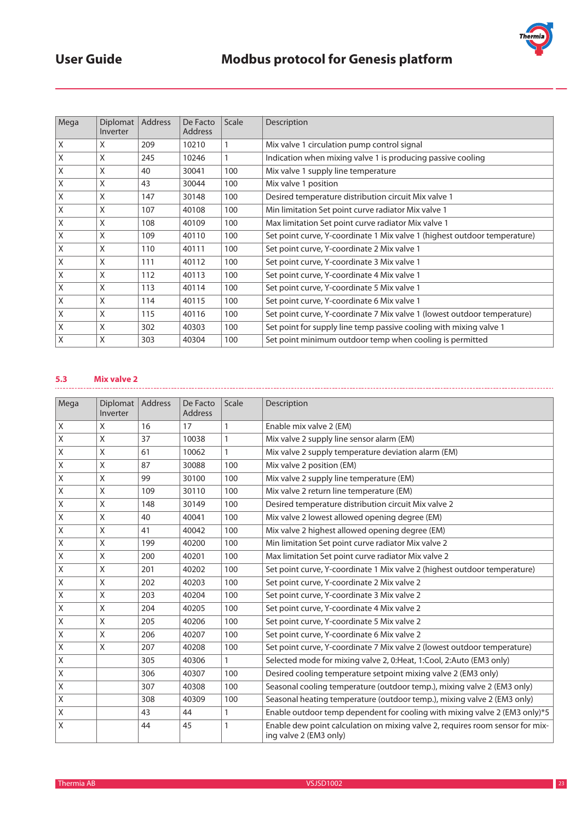

<span id="page-22-0"></span>

| Mega        | Diplomat<br>Inverter | <b>Address</b> | De Facto<br><b>Address</b> | <b>Scale</b> | Description                                                               |
|-------------|----------------------|----------------|----------------------------|--------------|---------------------------------------------------------------------------|
| X           | X                    | 209            | 10210                      | 1            | Mix valve 1 circulation pump control signal                               |
| X           | Χ                    | 245            | 10246                      | 1            | Indication when mixing valve 1 is producing passive cooling               |
| $\mathsf X$ | X                    | 40             | 30041                      | 100          | Mix valve 1 supply line temperature                                       |
| $\mathsf X$ | X                    | 43             | 30044                      | 100          | Mix valve 1 position                                                      |
| X           | X                    | 147            | 30148                      | 100          | Desired temperature distribution circuit Mix valve 1                      |
| $\mathsf X$ | Χ                    | 107            | 40108                      | 100          | Min limitation Set point curve radiator Mix valve 1                       |
| X           | Χ                    | 108            | 40109                      | 100          | Max limitation Set point curve radiator Mix valve 1                       |
| X           | Χ                    | 109            | 40110                      | 100          | Set point curve, Y-coordinate 1 Mix valve 1 (highest outdoor temperature) |
| X           | Χ                    | 110            | 40111                      | 100          | Set point curve, Y-coordinate 2 Mix valve 1                               |
| X           | X                    | 111            | 40112                      | 100          | Set point curve, Y-coordinate 3 Mix valve 1                               |
| X           | Χ                    | 112            | 40113                      | 100          | Set point curve, Y-coordinate 4 Mix valve 1                               |
| X           | Χ                    | 113            | 40114                      | 100          | Set point curve, Y-coordinate 5 Mix valve 1                               |
| X           | Χ                    | 114            | 40115                      | 100          | Set point curve, Y-coordinate 6 Mix valve 1                               |
| X           | Χ                    | 115            | 40116                      | 100          | Set point curve, Y-coordinate 7 Mix valve 1 (lowest outdoor temperature)  |
| $\mathsf X$ | X                    | 302            | 40303                      | 100          | Set point for supply line temp passive cooling with mixing valve 1        |
| X           | Χ                    | 303            | 40304                      | 100          | Set point minimum outdoor temp when cooling is permitted                  |

# **5.3 Mix valve 2**

| Mega        | Diplomat     | <b>Address</b> | De Facto       | Scale        | Description                                                                                             |
|-------------|--------------|----------------|----------------|--------------|---------------------------------------------------------------------------------------------------------|
|             | Inverter     |                | <b>Address</b> |              |                                                                                                         |
| X           | $\mathsf{X}$ | 16             | 17             | 1            | Enable mix valve 2 (EM)                                                                                 |
| $\mathsf X$ | X            | 37             | 10038          | $\mathbf{1}$ | Mix valve 2 supply line sensor alarm (EM)                                                               |
| Χ           | X            | 61             | 10062          | $\mathbf{1}$ | Mix valve 2 supply temperature deviation alarm (EM)                                                     |
| Χ           | X            | 87             | 30088          | 100          | Mix valve 2 position (EM)                                                                               |
| X           | X            | 99             | 30100          | 100          | Mix valve 2 supply line temperature (EM)                                                                |
| X           | X            | 109            | 30110          | 100          | Mix valve 2 return line temperature (EM)                                                                |
| Χ           | X            | 148            | 30149          | 100          | Desired temperature distribution circuit Mix valve 2                                                    |
| Χ           | X            | 40             | 40041          | 100          | Mix valve 2 lowest allowed opening degree (EM)                                                          |
| Χ           | X            | 41             | 40042          | 100          | Mix valve 2 highest allowed opening degree (EM)                                                         |
| X           | X            | 199            | 40200          | 100          | Min limitation Set point curve radiator Mix valve 2                                                     |
| X           | X            | 200            | 40201          | 100          | Max limitation Set point curve radiator Mix valve 2                                                     |
| Χ           | X            | 201            | 40202          | 100          | Set point curve, Y-coordinate 1 Mix valve 2 (highest outdoor temperature)                               |
| Χ           | X            | 202            | 40203          | 100          | Set point curve, Y-coordinate 2 Mix valve 2                                                             |
| Χ           | X            | 203            | 40204          | 100          | Set point curve, Y-coordinate 3 Mix valve 2                                                             |
| Χ           | X            | 204            | 40205          | 100          | Set point curve, Y-coordinate 4 Mix valve 2                                                             |
| Χ           | $\mathsf{X}$ | 205            | 40206          | 100          | Set point curve, Y-coordinate 5 Mix valve 2                                                             |
| Χ           | X            | 206            | 40207          | 100          | Set point curve, Y-coordinate 6 Mix valve 2                                                             |
| X           | X            | 207            | 40208          | 100          | Set point curve, Y-coordinate 7 Mix valve 2 (lowest outdoor temperature)                                |
| $\mathsf X$ |              | 305            | 40306          | 1            | Selected mode for mixing valve 2, 0:Heat, 1:Cool, 2:Auto (EM3 only)                                     |
| $\mathsf X$ |              | 306            | 40307          | 100          | Desired cooling temperature setpoint mixing valve 2 (EM3 only)                                          |
| $\mathsf X$ |              | 307            | 40308          | 100          | Seasonal cooling temperature (outdoor temp.), mixing valve 2 (EM3 only)                                 |
| Χ           |              | 308            | 40309          | 100          | Seasonal heating temperature (outdoor temp.), mixing valve 2 (EM3 only)                                 |
| $\mathsf X$ |              | 43             | 44             | $\mathbf{1}$ | Enable outdoor temp dependent for cooling with mixing valve 2 (EM3 only)*5                              |
| X           |              | 44             | 45             | $\mathbf{1}$ | Enable dew point calculation on mixing valve 2, requires room sensor for mix-<br>ing valve 2 (EM3 only) |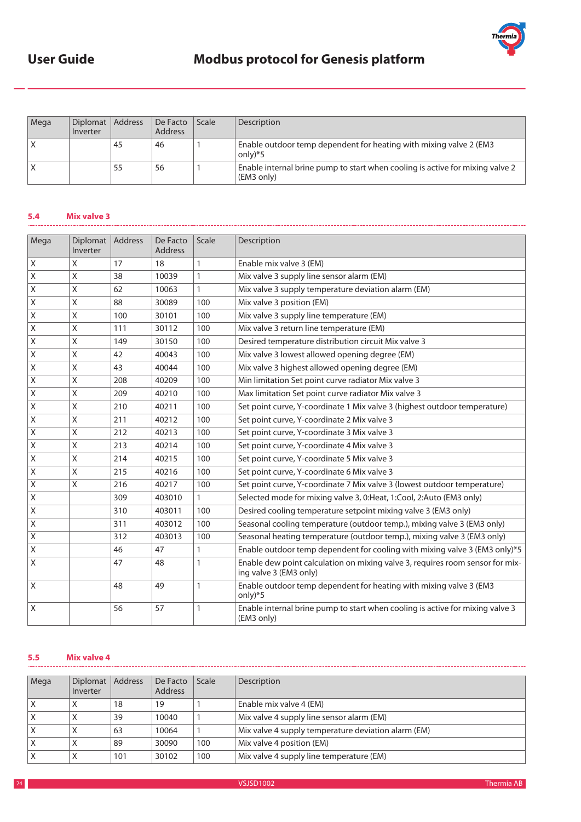

<span id="page-23-0"></span>

| Mega | Diplomat   Address<br>Inverter |    | De Facto<br>Address | Scale | Description                                                                                 |
|------|--------------------------------|----|---------------------|-------|---------------------------------------------------------------------------------------------|
|      |                                | 45 | 46                  |       | Enable outdoor temp dependent for heating with mixing valve 2 (EM3)<br>only $*5$            |
|      |                                | 55 | 56                  |       | Enable internal brine pump to start when cooling is active for mixing valve 2<br>(EM3 only) |

### **5.4 Mix valve 3**

| Mega                    | Diplomat<br>Inverter | <b>Address</b> | De Facto<br><b>Address</b> | Scale        | Description                                                                                             |
|-------------------------|----------------------|----------------|----------------------------|--------------|---------------------------------------------------------------------------------------------------------|
| $\mathsf X$             | X                    | 17             | 18                         | 1            | Enable mix valve 3 (EM)                                                                                 |
| $\overline{\mathsf{X}}$ | Χ                    | 38             | 10039                      | $\mathbf{1}$ | Mix valve 3 supply line sensor alarm (EM)                                                               |
| $\mathsf X$             | X                    | 62             | 10063                      | 1            | Mix valve 3 supply temperature deviation alarm (EM)                                                     |
| $\mathsf X$             | Χ                    | 88             | 30089                      | 100          | Mix valve 3 position (EM)                                                                               |
| $\mathsf X$             | Χ                    | 100            | 30101                      | 100          | Mix valve 3 supply line temperature (EM)                                                                |
| $\mathsf X$             | Χ                    | 111            | 30112                      | 100          | Mix valve 3 return line temperature (EM)                                                                |
| $\mathsf X$             | Χ                    | 149            | 30150                      | 100          | Desired temperature distribution circuit Mix valve 3                                                    |
| $\mathsf X$             | Χ                    | 42             | 40043                      | 100          | Mix valve 3 lowest allowed opening degree (EM)                                                          |
| $\mathsf X$             | Χ                    | 43             | 40044                      | 100          | Mix valve 3 highest allowed opening degree (EM)                                                         |
| Χ                       | X                    | 208            | 40209                      | 100          | Min limitation Set point curve radiator Mix valve 3                                                     |
| $\mathsf X$             | Χ                    | 209            | 40210                      | 100          | Max limitation Set point curve radiator Mix valve 3                                                     |
| $\mathsf X$             | X                    | 210            | 40211                      | 100          | Set point curve, Y-coordinate 1 Mix valve 3 (highest outdoor temperature)                               |
| Χ                       | X                    | 211            | 40212                      | 100          | Set point curve, Y-coordinate 2 Mix valve 3                                                             |
| X                       | X                    | 212            | 40213                      | 100          | Set point curve, Y-coordinate 3 Mix valve 3                                                             |
| $\mathsf X$             | Χ                    | 213            | 40214                      | 100          | Set point curve, Y-coordinate 4 Mix valve 3                                                             |
| $\mathsf X$             | Χ                    | 214            | 40215                      | 100          | Set point curve, Y-coordinate 5 Mix valve 3                                                             |
| $\mathsf X$             | X                    | 215            | 40216                      | 100          | Set point curve, Y-coordinate 6 Mix valve 3                                                             |
| $\mathsf X$             | X                    | 216            | 40217                      | 100          | Set point curve, Y-coordinate 7 Mix valve 3 (lowest outdoor temperature)                                |
| $\mathsf X$             |                      | 309            | 403010                     | 1            | Selected mode for mixing valve 3, 0:Heat, 1:Cool, 2:Auto (EM3 only)                                     |
| $\mathsf X$             |                      | 310            | 403011                     | 100          | Desired cooling temperature setpoint mixing valve 3 (EM3 only)                                          |
| $\mathsf X$             |                      | 311            | 403012                     | 100          | Seasonal cooling temperature (outdoor temp.), mixing valve 3 (EM3 only)                                 |
| $\mathsf X$             |                      | 312            | 403013                     | 100          | Seasonal heating temperature (outdoor temp.), mixing valve 3 (EM3 only)                                 |
| $\overline{\mathsf{X}}$ |                      | 46             | 47                         | 1            | Enable outdoor temp dependent for cooling with mixing valve 3 (EM3 only)*5                              |
| $\mathsf X$             |                      | 47             | 48                         | 1            | Enable dew point calculation on mixing valve 3, requires room sensor for mix-<br>ing valve 3 (EM3 only) |
| $\mathsf X$             |                      | 48             | 49                         | 1            | Enable outdoor temp dependent for heating with mixing valve 3 (EM3<br>only $)*5$                        |
| X                       |                      | 56             | 57                         | 1            | Enable internal brine pump to start when cooling is active for mixing valve 3<br>(EM3 only)             |

#### **5.5 Mix valve 4**

| Mega | Diplomat   Address<br>Inverter |     | De Facto<br><b>Address</b> | Scale | Description                                         |
|------|--------------------------------|-----|----------------------------|-------|-----------------------------------------------------|
|      |                                | 18  | 19                         |       | Enable mix valve 4 (EM)                             |
|      |                                | 39  | 10040                      |       | Mix valve 4 supply line sensor alarm (EM)           |
|      |                                | 63  | 10064                      |       | Mix valve 4 supply temperature deviation alarm (EM) |
|      |                                | 89  | 30090                      | 100   | Mix valve 4 position (EM)                           |
|      |                                | 101 | 30102                      | 100   | Mix valve 4 supply line temperature (EM)            |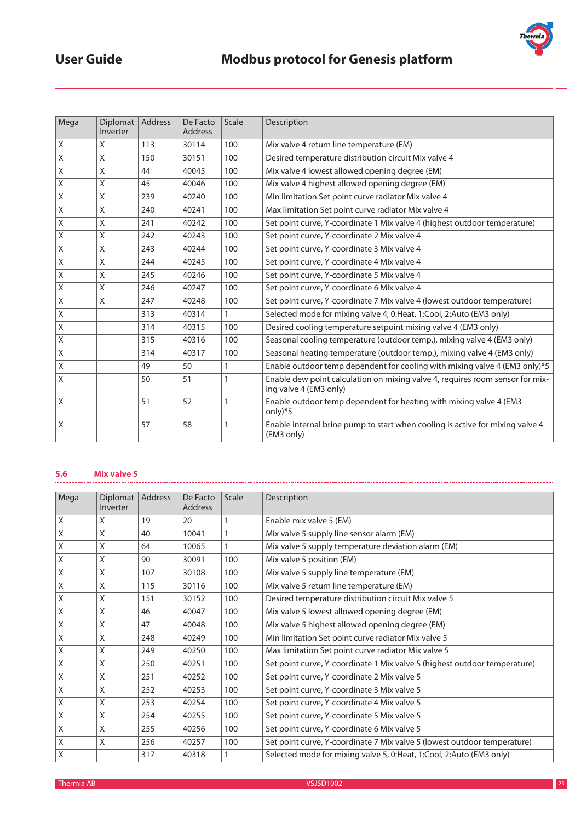

<span id="page-24-0"></span>

| Mega             | Diplomat<br>Inverter | <b>Address</b> | De Facto<br><b>Address</b> | Scale        | Description                                                                                             |
|------------------|----------------------|----------------|----------------------------|--------------|---------------------------------------------------------------------------------------------------------|
| $\mathsf X$      | X                    | 113            | 30114                      | 100          | Mix valve 4 return line temperature (EM)                                                                |
| $\mathsf X$      | X                    | 150            | 30151                      | 100          | Desired temperature distribution circuit Mix valve 4                                                    |
| $\mathsf X$      | X                    | 44             | 40045                      | 100          | Mix valve 4 lowest allowed opening degree (EM)                                                          |
| $\mathsf X$      | X                    | 45             | 40046                      | 100          | Mix valve 4 highest allowed opening degree (EM)                                                         |
| $\mathsf X$      | X                    | 239            | 40240                      | 100          | Min limitation Set point curve radiator Mix valve 4                                                     |
| X                | X                    | 240            | 40241                      | 100          | Max limitation Set point curve radiator Mix valve 4                                                     |
| $\mathsf X$      | X                    | 241            | 40242                      | 100          | Set point curve, Y-coordinate 1 Mix valve 4 (highest outdoor temperature)                               |
| $\mathsf X$      | X                    | 242            | 40243                      | 100          | Set point curve, Y-coordinate 2 Mix valve 4                                                             |
| $\mathsf X$      | X                    | 243            | 40244                      | 100          | Set point curve, Y-coordinate 3 Mix valve 4                                                             |
| $\mathsf X$      | X                    | 244            | 40245                      | 100          | Set point curve, Y-coordinate 4 Mix valve 4                                                             |
| X                | X                    | 245            | 40246                      | 100          | Set point curve, Y-coordinate 5 Mix valve 4                                                             |
| $\mathsf X$      | X                    | 246            | 40247                      | 100          | Set point curve, Y-coordinate 6 Mix valve 4                                                             |
| $\mathsf X$      | X                    | 247            | 40248                      | 100          | Set point curve, Y-coordinate 7 Mix valve 4 (lowest outdoor temperature)                                |
| $\mathsf X$      |                      | 313            | 40314                      | 1            | Selected mode for mixing valve 4, 0:Heat, 1:Cool, 2:Auto (EM3 only)                                     |
| $\mathsf X$      |                      | 314            | 40315                      | 100          | Desired cooling temperature setpoint mixing valve 4 (EM3 only)                                          |
| $\mathsf X$      |                      | 315            | 40316                      | 100          | Seasonal cooling temperature (outdoor temp.), mixing valve 4 (EM3 only)                                 |
| $\mathsf X$      |                      | 314            | 40317                      | 100          | Seasonal heating temperature (outdoor temp.), mixing valve 4 (EM3 only)                                 |
| $\mathsf X$      |                      | 49             | 50                         | 1            | Enable outdoor temp dependent for cooling with mixing valve 4 (EM3 only)*5                              |
| X                |                      | 50             | 51                         | 1            | Enable dew point calculation on mixing valve 4, requires room sensor for mix-<br>ing valve 4 (EM3 only) |
| $\boldsymbol{X}$ |                      | 51             | 52                         | $\mathbf{1}$ | Enable outdoor temp dependent for heating with mixing valve 4 (EM3<br>only $*5$                         |
| $\mathsf X$      |                      | 57             | 58                         | $\mathbf{1}$ | Enable internal brine pump to start when cooling is active for mixing valve 4<br>(EM3 only)             |

## **5.6 Mix valve 5**

| Mega        | Diplomat<br>Inverter | <b>Address</b> | De Facto<br><b>Address</b> | Scale | Description                                                               |
|-------------|----------------------|----------------|----------------------------|-------|---------------------------------------------------------------------------|
| X           | X                    | 19             | 20                         |       | Enable mix valve 5 (EM)                                                   |
| $\mathsf X$ | X                    | 40             | 10041                      |       | Mix valve 5 supply line sensor alarm (EM)                                 |
| $\mathsf X$ | Χ                    | 64             | 10065                      |       | Mix valve 5 supply temperature deviation alarm (EM)                       |
| X           | X                    | 90             | 30091                      | 100   | Mix valve 5 position (EM)                                                 |
| $\mathsf X$ | Χ                    | 107            | 30108                      | 100   | Mix valve 5 supply line temperature (EM)                                  |
| $\mathsf X$ | X                    | 115            | 30116                      | 100   | Mix valve 5 return line temperature (EM)                                  |
| $\mathsf X$ | X                    | 151            | 30152                      | 100   | Desired temperature distribution circuit Mix valve 5                      |
| X           | X                    | 46             | 40047                      | 100   | Mix valve 5 lowest allowed opening degree (EM)                            |
| $\mathsf X$ | X                    | 47             | 40048                      | 100   | Mix valve 5 highest allowed opening degree (EM)                           |
| $\mathsf X$ | Χ                    | 248            | 40249                      | 100   | Min limitation Set point curve radiator Mix valve 5                       |
| $\mathsf X$ | X                    | 249            | 40250                      | 100   | Max limitation Set point curve radiator Mix valve 5                       |
| X           | X                    | 250            | 40251                      | 100   | Set point curve, Y-coordinate 1 Mix valve 5 (highest outdoor temperature) |
| X           | X                    | 251            | 40252                      | 100   | Set point curve, Y-coordinate 2 Mix valve 5                               |
| $\mathsf X$ | Χ                    | 252            | 40253                      | 100   | Set point curve, Y-coordinate 3 Mix valve 5                               |
| X           | X                    | 253            | 40254                      | 100   | Set point curve, Y-coordinate 4 Mix valve 5                               |
| X           | X                    | 254            | 40255                      | 100   | Set point curve, Y-coordinate 5 Mix valve 5                               |
| X           | X                    | 255            | 40256                      | 100   | Set point curve, Y-coordinate 6 Mix valve 5                               |
| $\mathsf X$ | Χ                    | 256            | 40257                      | 100   | Set point curve, Y-coordinate 7 Mix valve 5 (lowest outdoor temperature)  |
| X           |                      | 317            | 40318                      |       | Selected mode for mixing valve 5, 0:Heat, 1:Cool, 2:Auto (EM3 only)       |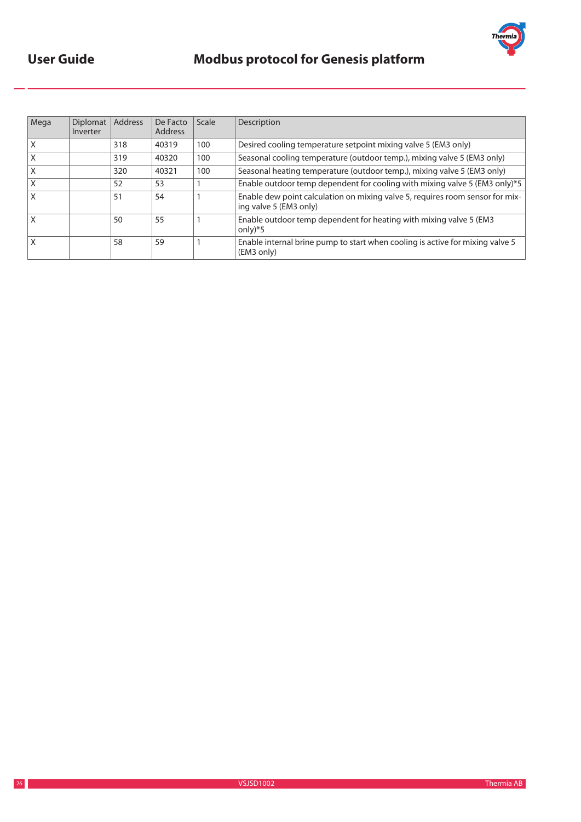

| Mega | Diplomat<br>Inverter | Address | De Facto<br><b>Address</b> | Scale | Description                                                                                             |
|------|----------------------|---------|----------------------------|-------|---------------------------------------------------------------------------------------------------------|
|      |                      | 318     | 40319                      | 100   | Desired cooling temperature setpoint mixing valve 5 (EM3 only)                                          |
| X    |                      | 319     | 40320                      | 100   | Seasonal cooling temperature (outdoor temp.), mixing valve 5 (EM3 only)                                 |
| X    |                      | 320     | 40321                      | 100   | Seasonal heating temperature (outdoor temp.), mixing valve 5 (EM3 only)                                 |
| Χ    |                      | 52      | 53                         |       | Enable outdoor temp dependent for cooling with mixing valve 5 (EM3 only)*5                              |
| X    |                      | 51      | 54                         |       | Enable dew point calculation on mixing valve 5, requires room sensor for mix-<br>ing valve 5 (EM3 only) |
| X    |                      | 50      | 55                         |       | Enable outdoor temp dependent for heating with mixing valve 5 (EM3)<br>only $*5$                        |
| X    |                      | 58      | 59                         |       | Enable internal brine pump to start when cooling is active for mixing valve 5<br>(EM3 only)             |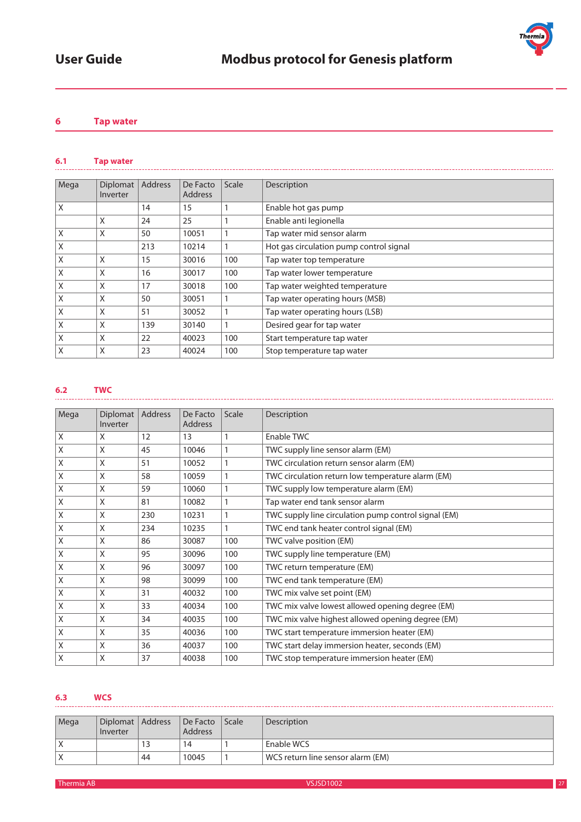

### <span id="page-26-0"></span>**6 Tap water**

#### **6.1 Tap water**

| Mega | Diplomat<br>Inverter | Address | De Facto<br><b>Address</b> | <b>Scale</b> | Description                             |
|------|----------------------|---------|----------------------------|--------------|-----------------------------------------|
| X    |                      | 14      | 15                         |              | Enable hot gas pump                     |
|      | Χ                    | 24      | 25                         |              | Enable anti legionella                  |
| X    | X                    | 50      | 10051                      |              | Tap water mid sensor alarm              |
| X    |                      | 213     | 10214                      |              | Hot gas circulation pump control signal |
| X    | X                    | 15      | 30016                      | 100          | Tap water top temperature               |
| X    | X                    | 16      | 30017                      | 100          | Tap water lower temperature             |
| X    | Χ                    | 17      | 30018                      | 100          | Tap water weighted temperature          |
| X    | X                    | 50      | 30051                      |              | Tap water operating hours (MSB)         |
| X    | X                    | 51      | 30052                      |              | Tap water operating hours (LSB)         |
| X    | X                    | 139     | 30140                      |              | Desired gear for tap water              |
| X    | X                    | 22      | 40023                      | 100          | Start temperature tap water             |
| X    | Χ                    | 23      | 40024                      | 100          | Stop temperature tap water              |
|      |                      |         |                            |              |                                         |

### **6.2 TWC**

| Mega        | Diplomat<br>Inverter | Address | De Facto<br><b>Address</b> | Scale | Description                                          |
|-------------|----------------------|---------|----------------------------|-------|------------------------------------------------------|
| $\sf X$     | X                    | 12      | 13                         |       | Enable TWC                                           |
| X           | X                    | 45      | 10046                      |       | TWC supply line sensor alarm (EM)                    |
| X           | X                    | 51      | 10052                      |       | TWC circulation return sensor alarm (EM)             |
| Χ           | X                    | 58      | 10059                      |       | TWC circulation return low temperature alarm (EM)    |
| X           | X                    | 59      | 10060                      |       | TWC supply low temperature alarm (EM)                |
| X           | X                    | 81      | 10082                      |       | Tap water end tank sensor alarm                      |
| $\mathsf X$ | X                    | 230     | 10231                      |       | TWC supply line circulation pump control signal (EM) |
| X           | X                    | 234     | 10235                      |       | TWC end tank heater control signal (EM)              |
| X           | X                    | 86      | 30087                      | 100   | TWC valve position (EM)                              |
| X           | X                    | 95      | 30096                      | 100   | TWC supply line temperature (EM)                     |
| $\sf X$     | X                    | 96      | 30097                      | 100   | TWC return temperature (EM)                          |
| X           | X                    | 98      | 30099                      | 100   | TWC end tank temperature (EM)                        |
| $\mathsf X$ | X                    | 31      | 40032                      | 100   | TWC mix valve set point (EM)                         |
| $\mathsf X$ | X                    | 33      | 40034                      | 100   | TWC mix valve lowest allowed opening degree (EM)     |
| $\sf X$     | X                    | 34      | 40035                      | 100   | TWC mix valve highest allowed opening degree (EM)    |
| X           | X                    | 35      | 40036                      | 100   | TWC start temperature immersion heater (EM)          |
| X           | X                    | 36      | 40037                      | 100   | TWC start delay immersion heater, seconds (EM)       |
| $\sf X$     | X                    | 37      | 40038                      | 100   | TWC stop temperature immersion heater (EM)           |

### **6.3 WCS**

| Mega | Diplomat | Address | De Facto       | Scale | Description                       |
|------|----------|---------|----------------|-------|-----------------------------------|
|      | Inverter |         | <b>Address</b> |       |                                   |
| X    |          |         | 14             |       | Enable WCS                        |
| X    |          | 44      | 10045          |       | WCS return line sensor alarm (EM) |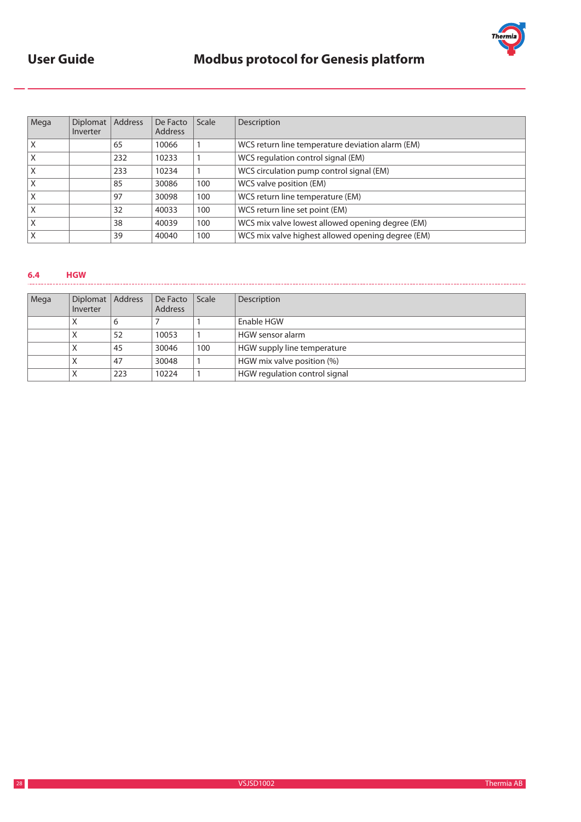

<span id="page-27-0"></span>

| Mega     | Diplomat  <br>Inverter | Address | De Facto<br><b>Address</b> | Scale | Description                                       |
|----------|------------------------|---------|----------------------------|-------|---------------------------------------------------|
| $\times$ |                        | 65      | 10066                      |       | WCS return line temperature deviation alarm (EM)  |
| X        |                        | 232     | 10233                      |       | WCS regulation control signal (EM)                |
| $\times$ |                        | 233     | 10234                      |       | WCS circulation pump control signal (EM)          |
| X        |                        | 85      | 30086                      | 100   | WCS valve position (EM)                           |
| $\sf X$  |                        | 97      | 30098                      | 100   | WCS return line temperature (EM)                  |
| $\chi$   |                        | 32      | 40033                      | 100   | WCS return line set point (EM)                    |
| X        |                        | 38      | 40039                      | 100   | WCS mix valve lowest allowed opening degree (EM)  |
| $\times$ |                        | 39      | 40040                      | 100   | WCS mix valve highest allowed opening degree (EM) |

## **6.4 HGW**

| Mega | Diplomat   Address<br>Inverter |     | De Facto<br>Address | Scale | Description                   |
|------|--------------------------------|-----|---------------------|-------|-------------------------------|
|      |                                | b   |                     |       | Enable HGW                    |
|      | ∧                              | 52  | 10053               |       | HGW sensor alarm              |
|      | ∧                              | 45  | 30046               | 100   | HGW supply line temperature   |
|      | ∧                              | .47 | 30048               |       | HGW mix valve position (%)    |
|      |                                | 223 | 10224               |       | HGW regulation control signal |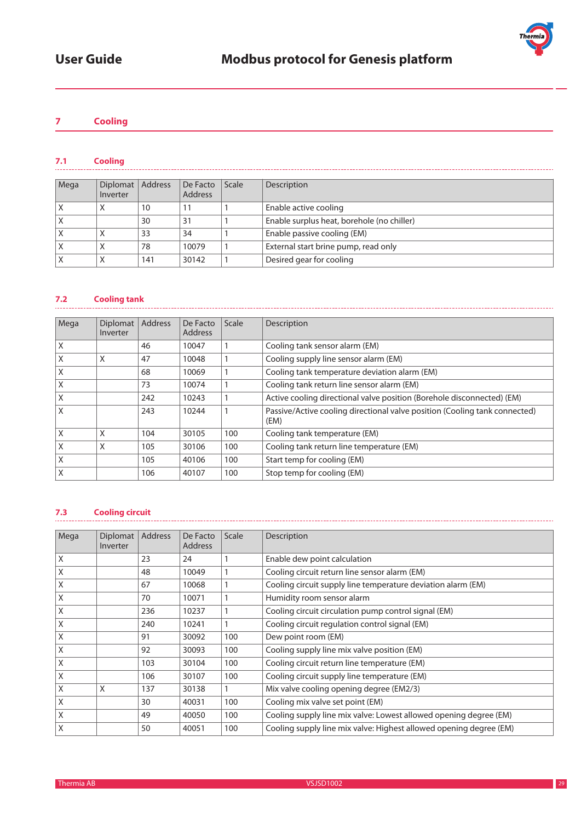

## <span id="page-28-0"></span>**7 Cooling**

#### **7.1 Cooling**

| Mega         | Diplomat Address<br>Inverter |     | De Facto<br>Address | Scale | Description                                |
|--------------|------------------------------|-----|---------------------|-------|--------------------------------------------|
| $\times$     | $\checkmark$                 | 10  |                     |       | Enable active cooling                      |
| lχ           |                              | 30  | 31                  |       | Enable surplus heat, borehole (no chiller) |
| $\mathsf{X}$ |                              | 33  | 34                  |       | Enable passive cooling (EM)                |
| $\times$     | $\checkmark$<br>∧            | 78  | 10079               |       | External start brine pump, read only       |
| $\times$     |                              | 141 | 30142               |       | Desired gear for cooling                   |

#### **7.2 Cooling tank**

| Mega           | Diplomat<br>Inverter | <b>Address</b> | De Facto<br><b>Address</b> | <b>Scale</b> | Description                                                                        |
|----------------|----------------------|----------------|----------------------------|--------------|------------------------------------------------------------------------------------|
| $\times$       |                      | 46             | 10047                      |              | Cooling tank sensor alarm (EM)                                                     |
| $\chi$         | X                    | 47             | 10048                      |              | Cooling supply line sensor alarm (EM)                                              |
| $\overline{X}$ |                      | 68             | 10069                      |              | Cooling tank temperature deviation alarm (EM)                                      |
| $\overline{X}$ |                      | 73             | 10074                      |              | Cooling tank return line sensor alarm (EM)                                         |
| $\overline{X}$ |                      | 242            | 10243                      |              | Active cooling directional valve position (Borehole disconnected) (EM)             |
| $\times$       |                      | 243            | 10244                      |              | Passive/Active cooling directional valve position (Cooling tank connected)<br>(EM) |
| $\mathsf{X}$   | X                    | 104            | 30105                      | 100          | Cooling tank temperature (EM)                                                      |
| $\mathsf{X}$   | X                    | 105            | 30106                      | 100          | Cooling tank return line temperature (EM)                                          |
| $\chi$         |                      | 105            | 40106                      | 100          | Start temp for cooling (EM)                                                        |
| $\times$       |                      | 106            | 40107                      | 100          | Stop temp for cooling (EM)                                                         |

#### **7.3 Cooling circuit**

| Mega | Diplomat<br>Inverter | <b>Address</b> | De Facto<br><b>Address</b> | <b>Scale</b> | Description                                                        |
|------|----------------------|----------------|----------------------------|--------------|--------------------------------------------------------------------|
| Χ    |                      | 23             | 24                         |              | Enable dew point calculation                                       |
| Χ    |                      | 48             | 10049                      |              | Cooling circuit return line sensor alarm (EM)                      |
| Χ    |                      | 67             | 10068                      |              | Cooling circuit supply line temperature deviation alarm (EM)       |
| Χ    |                      | 70             | 10071                      |              | Humidity room sensor alarm                                         |
| Χ    |                      | 236            | 10237                      |              | Cooling circuit circulation pump control signal (EM)               |
| Χ    |                      | 240            | 10241                      |              | Cooling circuit regulation control signal (EM)                     |
| Χ    |                      | 91             | 30092                      | 100          | Dew point room (EM)                                                |
| Χ    |                      | 92             | 30093                      | 100          | Cooling supply line mix valve position (EM)                        |
| Χ    |                      | 103            | 30104                      | 100          | Cooling circuit return line temperature (EM)                       |
| Χ    |                      | 106            | 30107                      | 100          | Cooling circuit supply line temperature (EM)                       |
| X    | X                    | 137            | 30138                      |              | Mix valve cooling opening degree (EM2/3)                           |
| Χ    |                      | 30             | 40031                      | 100          | Cooling mix valve set point (EM)                                   |
| X    |                      | 49             | 40050                      | 100          | Cooling supply line mix valve: Lowest allowed opening degree (EM)  |
| Χ    |                      | 50             | 40051                      | 100          | Cooling supply line mix valve: Highest allowed opening degree (EM) |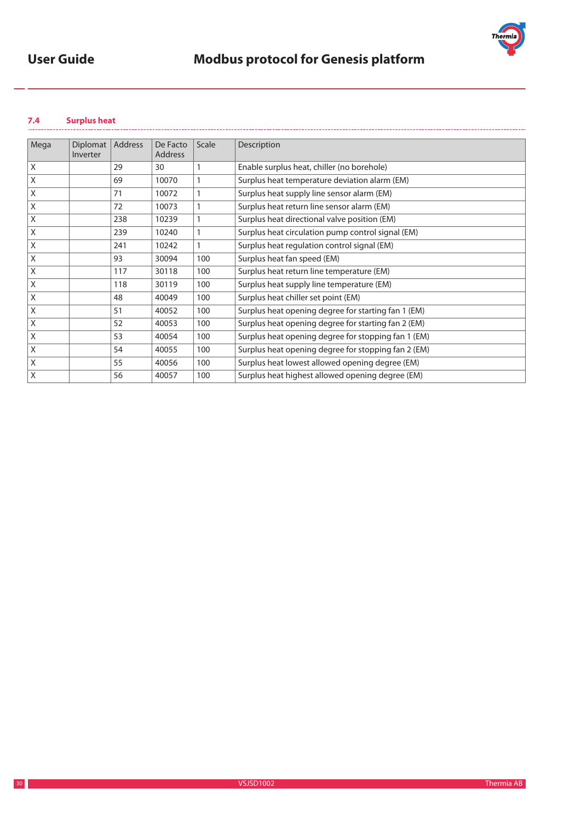

## <span id="page-29-0"></span>**7.4 Surplus heat**

| Mega        | Diplomat<br>Inverter | Address | De Facto<br><b>Address</b> | <b>Scale</b> | Description                                         |
|-------------|----------------------|---------|----------------------------|--------------|-----------------------------------------------------|
| X           |                      | 29      | 30                         |              | Enable surplus heat, chiller (no borehole)          |
| $\mathsf X$ |                      | 69      | 10070                      |              | Surplus heat temperature deviation alarm (EM)       |
| X           |                      | 71      | 10072                      |              | Surplus heat supply line sensor alarm (EM)          |
| X           |                      | 72      | 10073                      |              | Surplus heat return line sensor alarm (EM)          |
| X           |                      | 238     | 10239                      |              | Surplus heat directional valve position (EM)        |
| X           |                      | 239     | 10240                      | 1            | Surplus heat circulation pump control signal (EM)   |
| X           |                      | 241     | 10242                      | 1            | Surplus heat regulation control signal (EM)         |
| X           |                      | 93      | 30094                      | 100          | Surplus heat fan speed (EM)                         |
| X           |                      | 117     | 30118                      | 100          | Surplus heat return line temperature (EM)           |
| X           |                      | 118     | 30119                      | 100          | Surplus heat supply line temperature (EM)           |
| X           |                      | 48      | 40049                      | 100          | Surplus heat chiller set point (EM)                 |
| X           |                      | 51      | 40052                      | 100          | Surplus heat opening degree for starting fan 1 (EM) |
| X           |                      | 52      | 40053                      | 100          | Surplus heat opening degree for starting fan 2 (EM) |
| X           |                      | 53      | 40054                      | 100          | Surplus heat opening degree for stopping fan 1 (EM) |
| X           |                      | 54      | 40055                      | 100          | Surplus heat opening degree for stopping fan 2 (EM) |
| X           |                      | 55      | 40056                      | 100          | Surplus heat lowest allowed opening degree (EM)     |
| X           |                      | 56      | 40057                      | 100          | Surplus heat highest allowed opening degree (EM)    |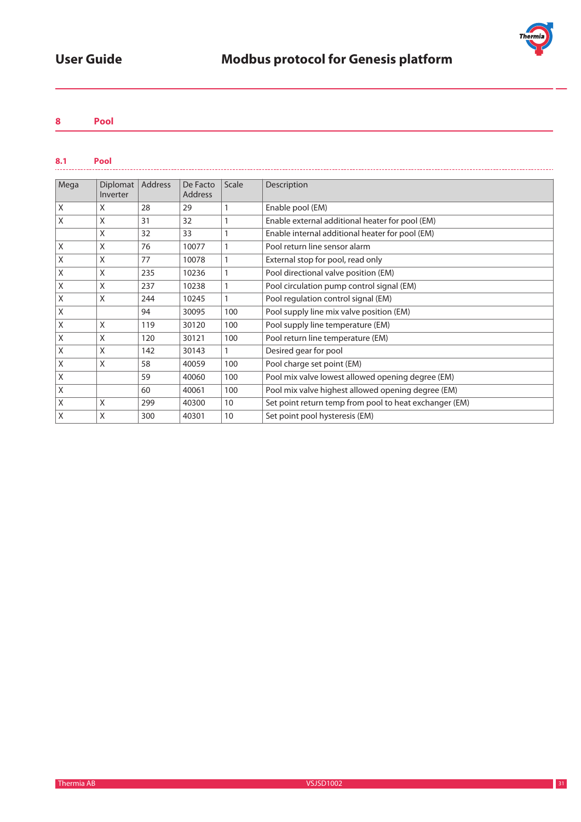

## <span id="page-30-0"></span>**8 Pool**

### **8.1 Pool**

| Mega        | <b>Diplomat</b><br>Inverter | <b>Address</b> | De Facto<br><b>Address</b> | <b>Scale</b> | Description                                            |
|-------------|-----------------------------|----------------|----------------------------|--------------|--------------------------------------------------------|
| X           | X                           | 28             | 29                         |              | Enable pool (EM)                                       |
| X           | X                           | 31             | 32                         |              | Enable external additional heater for pool (EM)        |
|             | Χ                           | 32             | 33                         |              | Enable internal additional heater for pool (EM)        |
| $\mathsf X$ | Χ                           | 76             | 10077                      |              | Pool return line sensor alarm                          |
| X           | Χ                           | 77             | 10078                      |              | External stop for pool, read only                      |
| $\mathsf X$ | X                           | 235            | 10236                      |              | Pool directional valve position (EM)                   |
| X           | Χ                           | 237            | 10238                      |              | Pool circulation pump control signal (EM)              |
| X           | X                           | 244            | 10245                      |              | Pool regulation control signal (EM)                    |
| X           |                             | 94             | 30095                      | 100          | Pool supply line mix valve position (EM)               |
| X           | Χ                           | 119            | 30120                      | 100          | Pool supply line temperature (EM)                      |
| Χ           | Χ                           | 120            | 30121                      | 100          | Pool return line temperature (EM)                      |
| X           | Χ                           | 142            | 30143                      |              | Desired gear for pool                                  |
| Χ           | X                           | 58             | 40059                      | 100          | Pool charge set point (EM)                             |
| X           |                             | 59             | 40060                      | 100          | Pool mix valve lowest allowed opening degree (EM)      |
| X           |                             | 60             | 40061                      | 100          | Pool mix valve highest allowed opening degree (EM)     |
| X           | X                           | 299            | 40300                      | 10           | Set point return temp from pool to heat exchanger (EM) |
| X           | Χ                           | 300            | 40301                      | 10           | Set point pool hysteresis (EM)                         |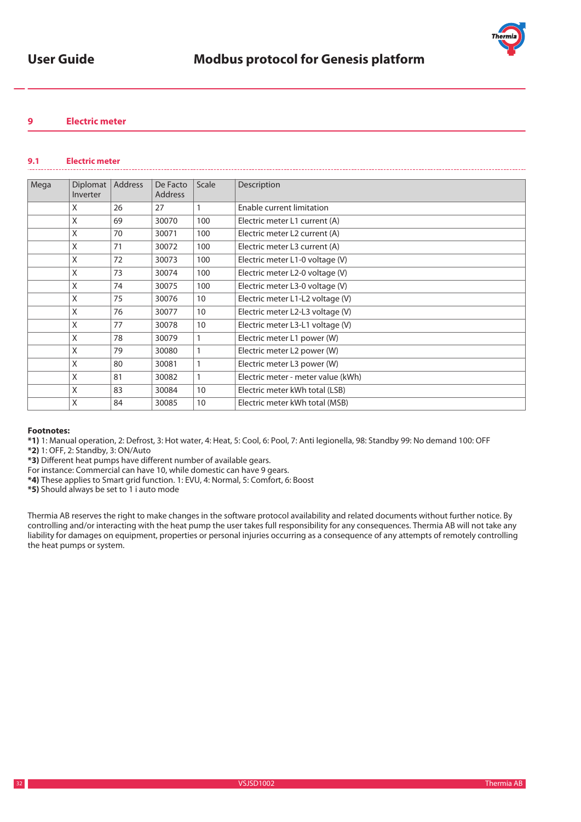

#### <span id="page-31-0"></span>**9 Electric meter**

#### **9.1 Electric meter**

| Mega | Diplomat<br>Inverter | <b>Address</b> | De Facto<br><b>Address</b> | <b>Scale</b>     | Description                        |
|------|----------------------|----------------|----------------------------|------------------|------------------------------------|
|      | X                    | 26             | 27                         |                  | Enable current limitation          |
|      | X                    | 69             | 30070                      | 100              | Electric meter L1 current (A)      |
|      | X                    | 70             | 30071                      | 100              | Electric meter L2 current (A)      |
|      | X                    | 71             | 30072                      | 100              | Electric meter L3 current (A)      |
|      | X                    | 72             | 30073                      | 100              | Electric meter L1-0 voltage (V)    |
|      | X                    | 73             | 30074                      | 100              | Electric meter L2-0 voltage (V)    |
|      | X                    | 74             | 30075                      | 100              | Electric meter L3-0 voltage (V)    |
|      | X                    | 75             | 30076                      | 10 <sup>10</sup> | Electric meter L1-L2 voltage (V)   |
|      | X                    | 76             | 30077                      | 10               | Electric meter L2-L3 voltage (V)   |
|      | X                    | 77             | 30078                      | 10               | Electric meter L3-L1 voltage (V)   |
|      | X                    | 78             | 30079                      | 1                | Electric meter L1 power (W)        |
|      | X                    | 79             | 30080                      | 1                | Electric meter L2 power (W)        |
|      | X                    | 80             | 30081                      |                  | Electric meter L3 power (W)        |
|      | X                    | 81             | 30082                      |                  | Electric meter - meter value (kWh) |
|      | X                    | 83             | 30084                      | 10               | Electric meter kWh total (LSB)     |
|      | X                    | 84             | 30085                      | 10               | Electric meter kWh total (MSB)     |

#### **Footnotes:**

**\*1)** 1: Manual operation, 2: Defrost, 3: Hot water, 4: Heat, 5: Cool, 6: Pool, 7: Anti legionella, 98: Standby 99: No demand 100: OFF

**\*2)** 1: OFF, 2: Standby, 3: ON/Auto

- **\*3)** Different heat pumps have different number of available gears.
- For instance: Commercial can have 10, while domestic can have 9 gears.
- **\*4)** These applies to Smart grid function. 1: EVU, 4: Normal, 5: Comfort, 6: Boost

**\*5)** Should always be set to 1 i auto mode

Thermia AB reserves the right to make changes in the software protocol availability and related documents without further notice. By controlling and/or interacting with the heat pump the user takes full responsibility for any consequences. Thermia AB will not take any liability for damages on equipment, properties or personal injuries occurring as a consequence of any attempts of remotely controlling the heat pumps or system.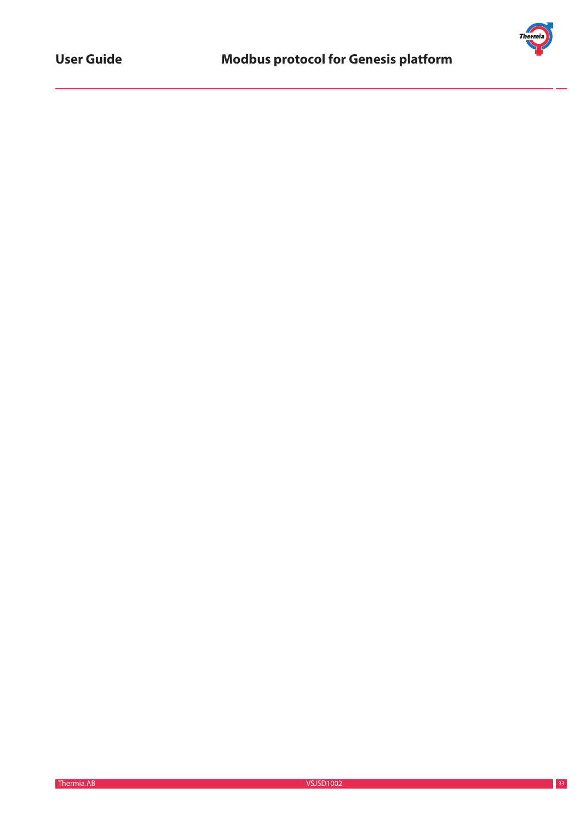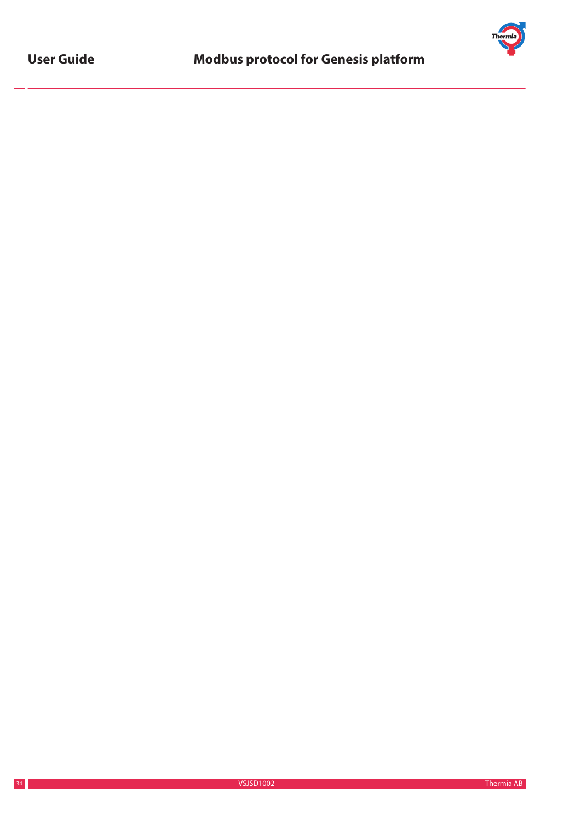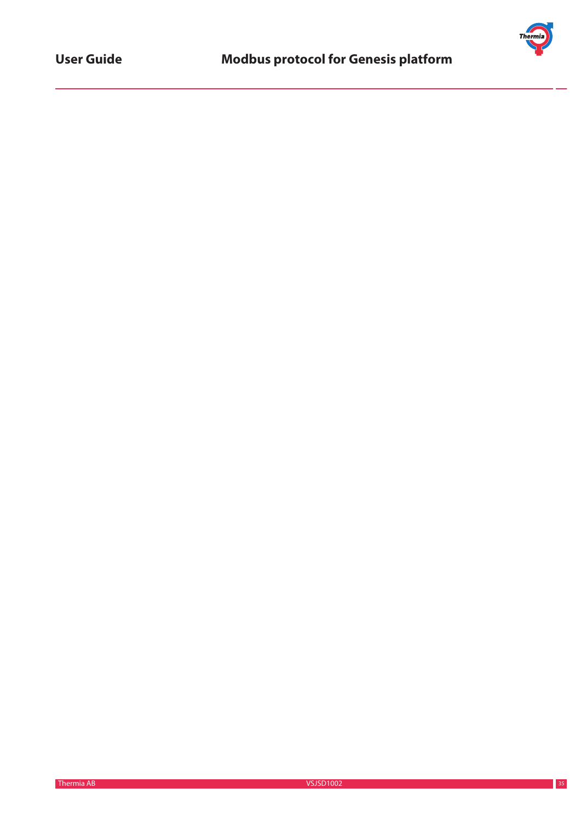